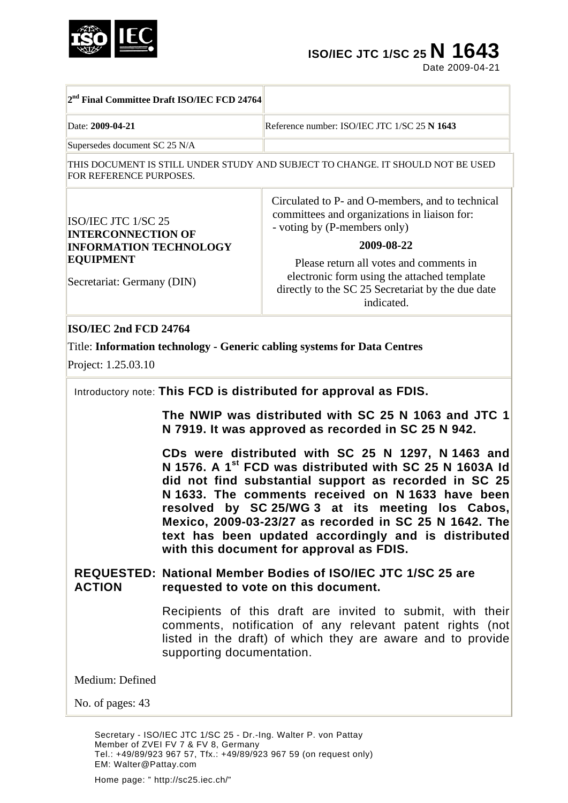

# **ISO/IEC JTC 1/SC 25 N 1643**

Date 2009-04-21

|                                                                                                                                     | 2 <sup>nd</sup> Final Committee Draft ISO/IEC FCD 24764                                                                                                                                                                                                                                                                                                                                                                                                      |                                                                                                                                                                                                                                                                                                             |  |
|-------------------------------------------------------------------------------------------------------------------------------------|--------------------------------------------------------------------------------------------------------------------------------------------------------------------------------------------------------------------------------------------------------------------------------------------------------------------------------------------------------------------------------------------------------------------------------------------------------------|-------------------------------------------------------------------------------------------------------------------------------------------------------------------------------------------------------------------------------------------------------------------------------------------------------------|--|
| Date: 2009-04-21                                                                                                                    |                                                                                                                                                                                                                                                                                                                                                                                                                                                              | Reference number: ISO/IEC JTC 1/SC 25 N 1643                                                                                                                                                                                                                                                                |  |
| Supersedes document SC 25 N/A                                                                                                       |                                                                                                                                                                                                                                                                                                                                                                                                                                                              |                                                                                                                                                                                                                                                                                                             |  |
| FOR REFERENCE PURPOSES.                                                                                                             |                                                                                                                                                                                                                                                                                                                                                                                                                                                              | THIS DOCUMENT IS STILL UNDER STUDY AND SUBJECT TO CHANGE. IT SHOULD NOT BE USED                                                                                                                                                                                                                             |  |
| ISO/IEC JTC 1/SC 25<br><b>INTERCONNECTION OF</b><br><b>INFORMATION TECHNOLOGY</b><br><b>EQUIPMENT</b><br>Secretariat: Germany (DIN) |                                                                                                                                                                                                                                                                                                                                                                                                                                                              | Circulated to P- and O-members, and to technical<br>committees and organizations in liaison for:<br>- voting by (P-members only)<br>2009-08-22<br>Please return all votes and comments in<br>electronic form using the attached template<br>directly to the SC 25 Secretariat by the due date<br>indicated. |  |
| ISO/IEC 2nd FCD 24764<br>Project: 1.25.03.10                                                                                        |                                                                                                                                                                                                                                                                                                                                                                                                                                                              | Title: Information technology - Generic cabling systems for Data Centres                                                                                                                                                                                                                                    |  |
|                                                                                                                                     |                                                                                                                                                                                                                                                                                                                                                                                                                                                              | Introductory note: This FCD is distributed for approval as FDIS.<br>The NWIP was distributed with SC 25 N 1063 and JTC 1<br>N 7919. It was approved as recorded in SC 25 N 942.                                                                                                                             |  |
|                                                                                                                                     | CDs were distributed with SC 25 N 1297, N 1463 and<br>N 1576. A 1 <sup>st</sup> FCD was distributed with SC 25 N 1603A Id<br>did not find substantial support as recorded in SC 25<br>N 1633. The comments received on N 1633 have been<br>by SC 25/WG 3 at its meeting los Cabos,<br>resolved<br>Mexico, 2009-03-23/27 as recorded in SC 25 N 1642. The<br>text has been updated accordingly and is distributed<br>with this document for approval as FDIS. |                                                                                                                                                                                                                                                                                                             |  |
| <b>ACTION</b>                                                                                                                       |                                                                                                                                                                                                                                                                                                                                                                                                                                                              | <b>REQUESTED: National Member Bodies of ISO/IEC JTC 1/SC 25 are</b><br>requested to vote on this document.                                                                                                                                                                                                  |  |
|                                                                                                                                     | supporting documentation.                                                                                                                                                                                                                                                                                                                                                                                                                                    | Recipients of this draft are invited to submit, with their<br>comments, notification of any relevant patent rights (not<br>listed in the draft) of which they are aware and to provide                                                                                                                      |  |
| Medium: Defined                                                                                                                     |                                                                                                                                                                                                                                                                                                                                                                                                                                                              |                                                                                                                                                                                                                                                                                                             |  |
| No. of pages: 43                                                                                                                    |                                                                                                                                                                                                                                                                                                                                                                                                                                                              |                                                                                                                                                                                                                                                                                                             |  |
|                                                                                                                                     | Member of ZVEI FV 7 & FV 8, Germany                                                                                                                                                                                                                                                                                                                                                                                                                          | Secretary - ISO/IEC JTC 1/SC 25 - Dr.-Ing. Walter P. von Pattay<br>Tel.: +49/89/923 967 57, Tfx.: +49/89/923 967 59 (on request only)                                                                                                                                                                       |  |

Home page: " http://sc25.iec.ch/"

EM: Walter@Pattay.com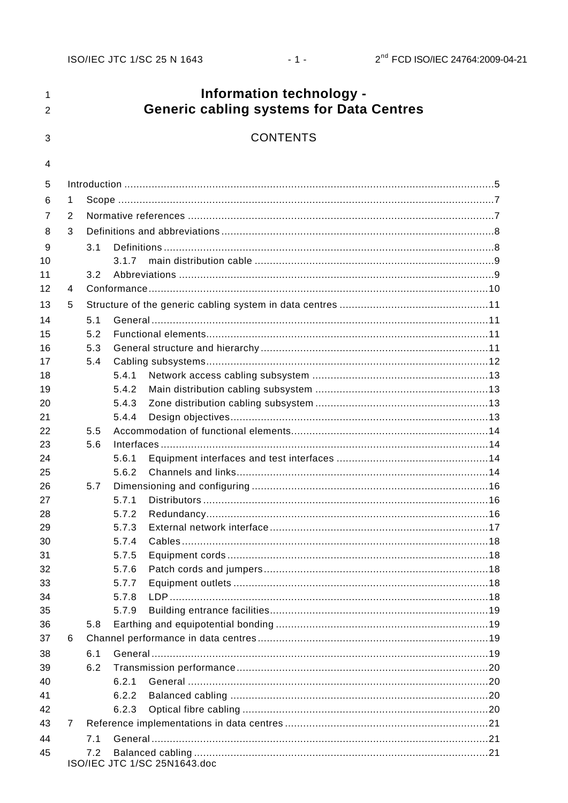$-1 -$ 

#### Information technology - $\mathbf{1}$ **Generic cabling systems for Data Centres**  $\overline{2}$ **CONTENTS** 3  $\overline{\mathbf{4}}$ 5 6  $\blacktriangleleft$  $\overline{7}$  $\mathcal{L}$ Definitions and abbreviations and abbreviations of the state of the state of the state of the state of the state of the state of the state of the state of the state of the state of the state of the state of the state of th 8  $\mathbf{z}$ 9  $3<sub>1</sub>$  $10$  $3.1.7$  $11$  $3.2$  $12$  $\overline{4}$ 13 5 14  $5.1$  $5.2$ 15 16  $5.3$ 17  $5.4$ 18  $5.4.1$ 19  $5.4.2$ 20 5.4.3  $21$ 5.4.4 22 5.5 23 5.6 24  $5.6.1$ 25 5.6.2 26 5.7 27  $5.7.1$ 28 5.7.2 29 5.7.3  $30$ 574 Cables 2014 18  $31$  $5.7.5$ 32 5.7.6 33 5.7.7 34 5.7.8 35 5.7.9 36  $5.8$ 37 6 38 61 39  $6.2$ 40  $6.2.1$ 41  $6.2.2$ 42  $6.2.3$ 43  $\overline{7}$ 44  $7<sub>1</sub>$ 45  $7.2$ ISO/IEC JTC 1/SC 25N1643.doc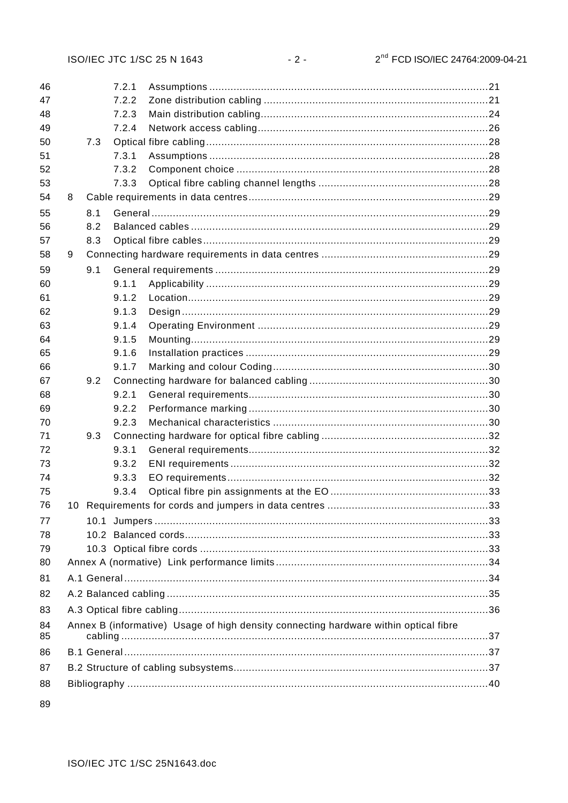| 46 |   |     | 7.2.1 |                                                                                      |  |
|----|---|-----|-------|--------------------------------------------------------------------------------------|--|
| 47 |   |     | 7.2.2 |                                                                                      |  |
| 48 |   |     | 7.2.3 |                                                                                      |  |
| 49 |   |     | 7.2.4 |                                                                                      |  |
| 50 |   | 7.3 |       |                                                                                      |  |
| 51 |   |     | 7.3.1 |                                                                                      |  |
| 52 |   |     | 7.3.2 |                                                                                      |  |
| 53 |   |     | 7.3.3 |                                                                                      |  |
| 54 | 8 |     |       |                                                                                      |  |
| 55 |   | 8.1 |       |                                                                                      |  |
| 56 |   | 8.2 |       |                                                                                      |  |
| 57 |   | 8.3 |       |                                                                                      |  |
| 58 | 9 |     |       |                                                                                      |  |
| 59 |   | 9.1 |       |                                                                                      |  |
| 60 |   |     | 9.1.1 |                                                                                      |  |
| 61 |   |     | 9.1.2 |                                                                                      |  |
| 62 |   |     | 9.1.3 |                                                                                      |  |
| 63 |   |     | 9.1.4 |                                                                                      |  |
| 64 |   |     | 9.1.5 |                                                                                      |  |
| 65 |   |     | 9.1.6 |                                                                                      |  |
| 66 |   |     | 9.1.7 |                                                                                      |  |
| 67 |   | 9.2 |       |                                                                                      |  |
| 68 |   |     | 9.2.1 |                                                                                      |  |
| 69 |   |     | 9.2.2 |                                                                                      |  |
| 70 |   |     | 9.2.3 |                                                                                      |  |
| 71 |   | 9.3 |       |                                                                                      |  |
| 72 |   |     | 9.3.1 |                                                                                      |  |
| 73 |   |     | 9.3.2 |                                                                                      |  |
| 74 |   |     | 9.3.3 |                                                                                      |  |
| 75 |   |     | 9.3.4 |                                                                                      |  |
| 76 |   |     |       |                                                                                      |  |
| 77 |   |     |       |                                                                                      |  |
| 78 |   |     |       |                                                                                      |  |
| 79 |   |     |       |                                                                                      |  |
| 80 |   |     |       |                                                                                      |  |
| 81 |   |     |       |                                                                                      |  |
| 82 |   |     |       |                                                                                      |  |
| 83 |   |     |       |                                                                                      |  |
| 84 |   |     |       | Annex B (informative) Usage of high density connecting hardware within optical fibre |  |
| 85 |   |     |       |                                                                                      |  |
| 86 |   |     |       |                                                                                      |  |
| 87 |   |     |       |                                                                                      |  |
| 88 |   |     |       |                                                                                      |  |
|    |   |     |       |                                                                                      |  |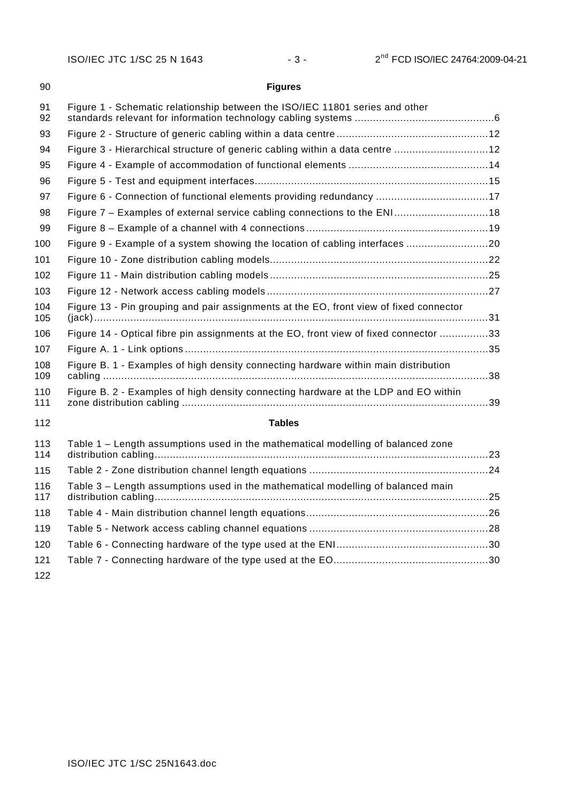| 90         | <b>Figures</b>                                                                         |  |
|------------|----------------------------------------------------------------------------------------|--|
| 91<br>92   | Figure 1 - Schematic relationship between the ISO/IEC 11801 series and other           |  |
| 93         |                                                                                        |  |
| 94         | Figure 3 - Hierarchical structure of generic cabling within a data centre 12           |  |
| 95         |                                                                                        |  |
| 96         |                                                                                        |  |
| 97         | Figure 6 - Connection of functional elements providing redundancy 17                   |  |
| 98         | Figure 7 - Examples of external service cabling connections to the ENI18               |  |
| 99         |                                                                                        |  |
| 100        | Figure 9 - Example of a system showing the location of cabling interfaces 20           |  |
| 101        |                                                                                        |  |
| 102        |                                                                                        |  |
| 103        |                                                                                        |  |
| 104<br>105 | Figure 13 - Pin grouping and pair assignments at the EO, front view of fixed connector |  |
| 106        | Figure 14 - Optical fibre pin assignments at the EO, front view of fixed connector 33  |  |
| 107        |                                                                                        |  |
| 108<br>109 | Figure B. 1 - Examples of high density connecting hardware within main distribution    |  |
| 110<br>111 | Figure B. 2 - Examples of high density connecting hardware at the LDP and EO within    |  |
| 112        | <b>Tables</b>                                                                          |  |
| 113<br>114 | Table 1 – Length assumptions used in the mathematical modelling of balanced zone       |  |
| 115        |                                                                                        |  |
| 116<br>117 | Table 3 - Length assumptions used in the mathematical modelling of balanced main       |  |
| 118        |                                                                                        |  |

| 119 |  |
|-----|--|
| 120 |  |
| 121 |  |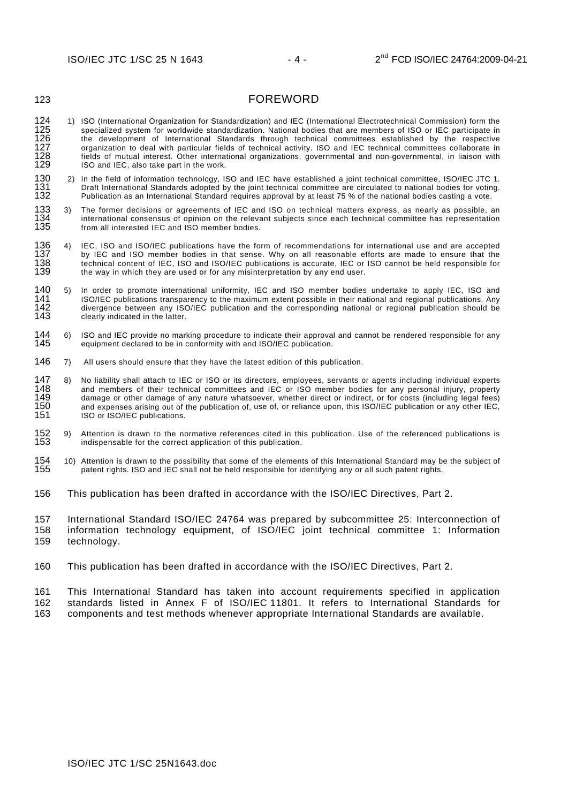# FOREWORD

- 124 125 126 127 128 129 1) ISO (International Organization for Standardization) and IEC (International Electrotechnical Commission) form the specialized system for worldwide standardization. National bodies that are members of ISO or IEC participate in the development of International Standards through technical committees established by the respective organization to deal with particular fields of technical activity. ISO and IEC technical committees collaborate in fields of mutual interest. Other international organizations, governmental and non-governmental, in liaison with ISO and IEC, also take part in the work.
- 130 131 132 2) In the field of information technology, ISO and IEC have established a joint technical committee, ISO/IEC JTC 1. Draft International Standards adopted by the joint technical committee are circulated to national bodies for voting. Publication as an International Standard requires approval by at least 75 % of the national bodies casting a vote.
- 134 135 133 3) The former decisions or agreements of IEC and ISO on technical matters express, as nearly as possible, an international consensus of opinion on the relevant subjects since each technical committee has representation from all interested IEC and ISO member bodies.
- 137 138 139 136 4) IEC, ISO and ISO/IEC publications have the form of recommendations for international use and are accepted by IEC and ISO member bodies in that sense. Why on all reasonable efforts are made to ensure that the technical content of IEC, ISO and ISO/IEC publications is accurate, IEC or ISO cannot be held responsible for the way in which they are used or for any misinterpretation by any end user.
- 140<br>141 142 143 140 5) In order to promote international uniformity, IEC and ISO member bodies undertake to apply IEC, ISO and ISO/IEC publications transparency to the maximum extent possible in their national and regional publications. Any divergence between any ISO/IEC publication and the corresponding national or regional publication should be clearly indicated in the latter.
- 145 144 6) ISO and IEC provide no marking procedure to indicate their approval and cannot be rendered responsible for any equipment declared to be in conformity with and ISO/IEC publication.
- 146 7) All users should ensure that they have the latest edition of this publication.
- 148 149 150 151 147 8) No liability shall attach to IEC or ISO or its directors, employees, servants or agents including individual experts and members of their technical committees and IEC or ISO member bodies for any personal injury, property damage or other damage of any nature whatsoever, whether direct or indirect, or for costs (including legal fees) and expenses arising out of the publication of, use of, or reliance upon, this ISO/IEC publication or any other IEC, ISO or ISO/IEC publications.
- 153 9) Attention is drawn to the normative references cited in this publication. Use of the referenced publications is indispensable for the correct application of this publication.
- 155 154 10) Attention is drawn to the possibility that some of the elements of this International Standard may be the subject of patent rights. ISO and IEC shall not be held responsible for identifying any or all such patent rights.
- 156 This publication has been drafted in accordance with the ISO/IEC Directives, Part 2.

157 158 159 International Standard ISO/IEC 24764 was prepared by subcommittee 25: Interconnection of information technology equipment, of ISO/IEC joint technical committee 1: Information technology.

160 This publication has been drafted in accordance with the ISO/IEC Directives, Part 2.

161 162 163 This International Standard has taken into account requirements specified in application standards listed in Annex F of ISO/IEC 11801. It refers to International Standards for components and test methods whenever appropriate International Standards are available.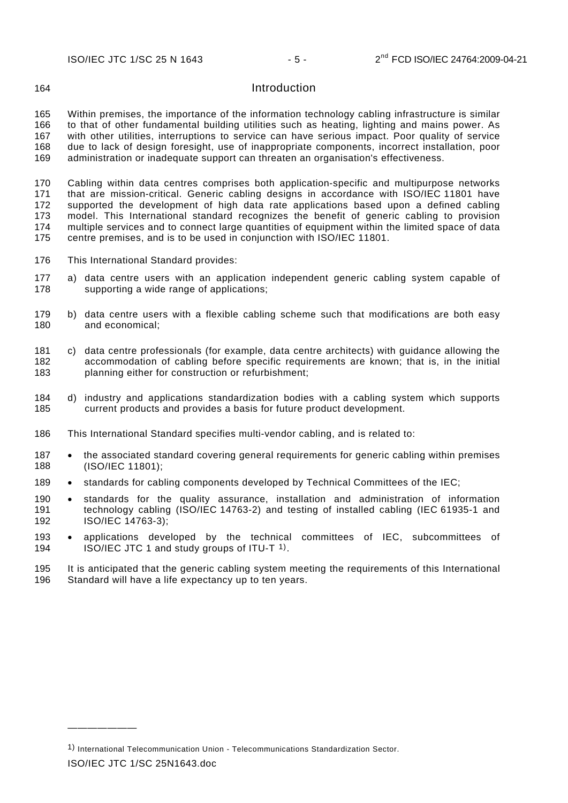### **Introduction**

<span id="page-5-0"></span>165 166 167 168 169 Within premises, the importance of the information technology cabling infrastructure is similar to that of other fundamental building utilities such as heating, lighting and mains power. As with other utilities, interruptions to service can have serious impact. Poor quality of service due to lack of design foresight, use of inappropriate components, incorrect installation, poor administration or inadequate support can threaten an organisation's effectiveness.

170 171 172 173 174 175 Cabling within data centres comprises both application-specific and multipurpose networks that are mission-critical. Generic cabling designs in accordance with ISO/IEC 11801 have supported the development of high data rate applications based upon a defined cabling model. This International standard recognizes the benefit of generic cabling to provision multiple services and to connect large quantities of equipment within the limited space of data centre premises, and is to be used in conjunction with ISO/IEC 11801.

- 176 This International Standard provides:
- 178 177 a) data centre users with an application independent generic cabling system capable of supporting a wide range of applications;
- 180 179 b) data centre users with a flexible cabling scheme such that modifications are both easy and economical;
- 182 183 181 c) data centre professionals (for example, data centre architects) with guidance allowing the accommodation of cabling before specific requirements are known; that is, in the initial planning either for construction or refurbishment;
- 185 184 d) industry and applications standardization bodies with a cabling system which supports current products and provides a basis for future product development.
- 186 This International Standard specifies multi-vendor cabling, and is related to:
- 187 188 • the associated standard covering general requirements for generic cabling within premises (ISO/IEC 11801);
- 189 standards for cabling components developed by Technical Committees of the IEC;
- 190 191 192 standards for the quality assurance, installation and administration of information technology cabling (ISO/IEC 14763-2) and testing of installed cabling (IEC 61935-1 and ISO/IEC 14763-3);
- 193 194 applications developed by the technical committees of IEC, subcommittees of ISO/IEC JTC 1 and study groups of ITU-T [1\)](#page-5-1).
- 195 196 It is anticipated that the generic cabling system meeting the requirements of this International Standard will have a life expectancy up to ten years.

ISO/IEC JTC 1/SC 25N1643.doc

———————

<span id="page-5-1"></span><sup>1)</sup> International Telecommunication Union - Telecommunications Standardization Sector.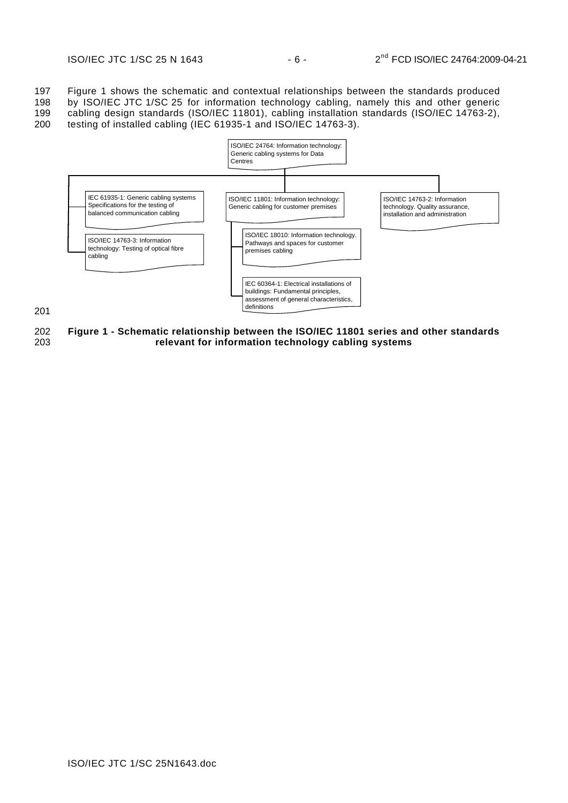197 198 199 [Figure 1](#page-6-0) shows the schematic and contextual relationships between the standards produced by ISO/IEC JTC 1/SC 25 for information technology cabling, namely this and other generic cabling design standards (ISO/IEC 11801), cabling installation standards (ISO/IEC 14763-2),

200 testing of installed cabling (IEC 61935-1 and ISO/IEC 14763-3).



201

<span id="page-6-0"></span>202 203 **Figure 1 - Schematic relationship between the ISO/IEC 11801 series and other standards relevant for information technology cabling systems**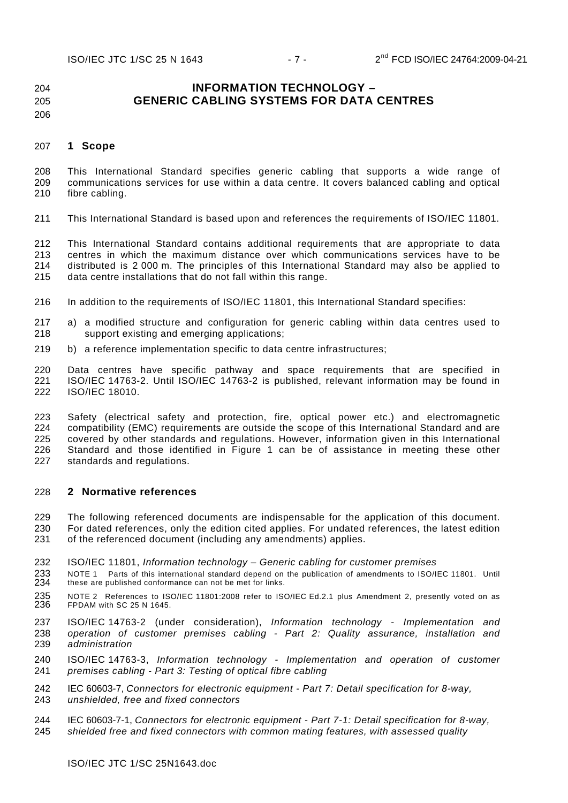#### 204 205 **INFORMATION TECHNOLOGY – GENERIC CABLING SYSTEMS FOR DATA CENTRES**

#### 206

#### <span id="page-7-0"></span>207 **1 Scope**

208 209 210 This International Standard specifies generic cabling that supports a wide range of communications services for use within a data centre. It covers balanced cabling and optical fibre cabling.

211 This International Standard is based upon and references the requirements of ISO/IEC 11801.

212 213 214 215 This International Standard contains additional requirements that are appropriate to data centres in which the maximum distance over which communications services have to be distributed is 2 000 m. The principles of this International Standard may also be applied to data centre installations that do not fall within this range.

- 216 In addition to the requirements of ISO/IEC 11801, this International Standard specifies:
- 218 217 a) a modified structure and configuration for generic cabling within data centres used to support existing and emerging applications;
- 219 b) a reference implementation specific to data centre infrastructures;

220 221 222 Data centres have specific pathway and space requirements that are specified in ISO/IEC 14763-2. Until ISO/IEC 14763-2 is published, relevant information may be found in ISO/IEC 18010.

223 224 225 226 227 Safety (electrical safety and protection, fire, optical power etc.) and electromagnetic compatibility (EMC) requirements are outside the scope of this International Standard and are covered by other standards and regulations. However, information given in this International Standard and those identified in [Figure 1](#page-6-0) can be of assistance in meeting these other standards and regulations.

#### <span id="page-7-1"></span>228 **2 Normative references**

229 230 231 The following referenced documents are indispensable for the application of this document. For dated references, only the edition cited applies. For undated references, the latest edition of the referenced document (including any amendments) applies.

- 232 ISO/IEC 11801, *Information technology – Generic cabling for customer premises*
- 233 234 NOTE 1 Parts of this international standard depend on the publication of amendments to ISO/IEC 11801. Until these are published conformance can not be met for links.
- 235 236 NOTE 2 References to ISO/IEC 11801:2008 refer to ISO/IEC Ed.2.1 plus Amendment 2, presently voted on as FPDAM with SC 25 N 1645.
- 237 238 239 ISO/IEC 14763-2 (under consideration), *Information technology - Implementation and operation of customer premises cabling - Part 2: Quality assurance, installation and administration*
- $240$ 241 ISO/IEC 14763-3, *Information technology - Implementation and operation of customer premises cabling - Part 3: Testing of optical fibre cabling*
- 242 243 [IEC 60603-7,](http://webstore.iec.ch/webstore/webstore.nsf/artnum/041668) *Connectors for electronic equipment - Part 7: Detail specification for 8-way, unshielded, free and fixed connectors*
- 244 245 [IEC 60603-7-1,](http://webstore.iec.ch/webstore/webstore.nsf/artnum/028406) *Connectors for electronic equipment - Part 7-1: Detail specification for 8-way, shielded free and fixed connectors with common mating features, with assessed quality*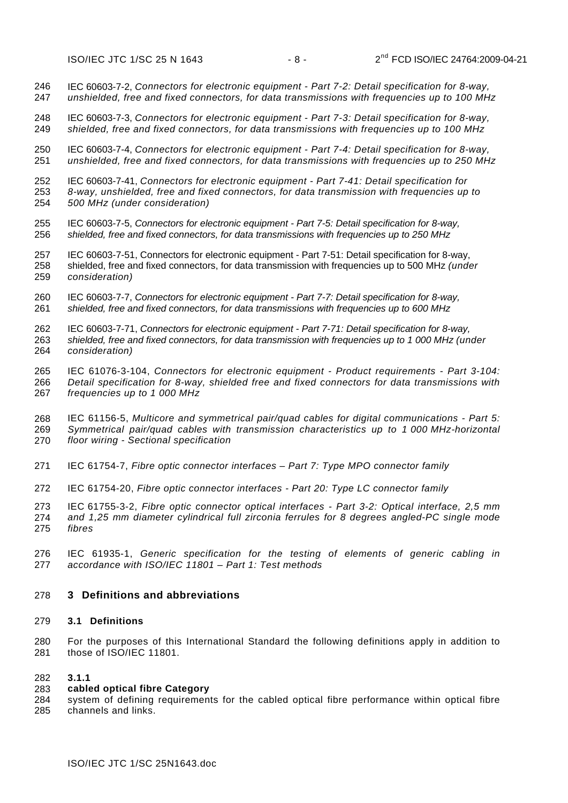246 247 [IEC 60603-7-2,](http://webstore.iec.ch/webstore/webstore.nsf/artnum/037862) *Connectors for electronic equipment - Part 7-2: Detail specification for 8-way, unshielded, free and fixed connectors, for data transmissions with frequencies up to 100 MHz* 

248 249 [IEC 60603-7-3,](http://webstore.iec.ch/webstore/webstore.nsf/artnum/038937) *Connectors for electronic equipment - Part 7-3: Detail specification for 8-way, shielded, free and fixed connectors, for data transmissions with frequencies up to 100 MHz* 

250 251 [IEC 60603-7-4,](http://webstore.iec.ch/webstore/webstore.nsf/artnum/033726) *Connectors for electronic equipment - Part 7-4: Detail specification for 8-way, unshielded, free and fixed connectors, for data transmissions with frequencies up to 250 MHz* 

252 253 254 [IEC 60603-7-41,](http://www.iec.ch/cgi-bin/procgi.pl/www/iecwww.p?wwwlang=e&wwwprog=pro-det.p&progdb=db1&He=IEC&Pu=60603&Pa=7&Se=41&Am=&Fr=&TR=&Ed=1) *Connectors for electronic equipment - Part 7-41: Detail specification for 8-way, unshielded, free and fixed connectors, for data transmission with frequencies up to 500 MHz (under consideration)*

255 256 [IEC 60603-7-5,](http://webstore.iec.ch/webstore/webstore.nsf/artnum/037863) *Connectors for electronic equipment - Part 7-5: Detail specification for 8-way, shielded, free and fixed connectors, for data transmissions with frequencies up to 250 MHz* 

257 258 259 [IEC 60603-7-51,](http://www.iec.ch/cgi-bin/procgi.pl/www/iecwww.p?wwwlang=e&wwwprog=pro-det.p&progdb=db1&He=IEC&Pu=60603&Pa=7&Se=51&Am=&Fr=&TR=&Ed=1) Connectors for electronic equipment - Part 7-51: Detail specification for 8-way, shielded, free and fixed connectors, for data transmission with frequencies up to 500 MHz *(under consideration)*

260 261 [IEC 60603-7-7,](http://webstore.iec.ch/webstore/webstore.nsf/artnum/036216) *Connectors for electronic equipment - Part 7-7: Detail specification for 8-way, shielded, free and fixed connectors, for data transmissions with frequencies up to 600 MHz* 

262 [IEC 60603-7-71,](http://www.iec.ch/cgi-bin/procgi.pl/www/iecwww.p?wwwlang=e&wwwprog=pro-det.p&progdb=db1&He=IEC&Pu=60603&Pa=7&Se=71&Am=&Fr=&TR=&Ed=1) *Connectors for electronic equipment - Part 7-71: Detail specification for 8-way,* 

263 264 *shielded, free and fixed connectors, for data transmission with frequencies up to 1 000 MHz (under consideration)* 

265 266 267 I[EC 61076-3-104,](http://webstore.iec.ch/webstore/webstore.nsf/artnum/036388) *Connectors for electronic equipment - Product requirements - Part 3-104: Detail specification for 8-way, shielded free and fixed connectors for data transmissions with frequencies up to 1 000 MHz* 

268 269 270 IEC 61156-5, *Multicore and symmetrical pair/quad cables for digital communications - Part 5: Symmetrical pair/quad cables with transmission characteristics up to 1 000 MHz-horizontal floor wiring - Sectional specification* 

- 271 IEC 61754-7, *Fibre optic connector interfaces – Part 7: Type MPO connector family*
- 272 IEC 61754-20, *Fibre optic connector interfaces - Part 20: Type LC connector family*
- 273 274 275 IEC 61755-3-2, *Fibre optic connector optical interfaces - Part 3-2: Optical interface, 2,5 mm and 1,25 mm diameter cylindrical full zirconia ferrules for 8 degrees angled-PC single mode fibres*
- 276 277 IEC 61935-1, *Generic specification for the testing of elements of generic cabling in accordance with ISO/IEC 11801 – Part 1: Test methods*

# <span id="page-8-0"></span>278 **3 Definitions and abbreviations**

# <span id="page-8-1"></span>279 **3.1 Definitions**

280 281 For the purposes of this International Standard the following definitions apply in addition to those of ISO/IEC 11801.

#### 282 **3.1.1**

#### 283 **cabled optical fibre Category**

284 285 system of defining requirements for the cabled optical fibre performance within optical fibre channels and links.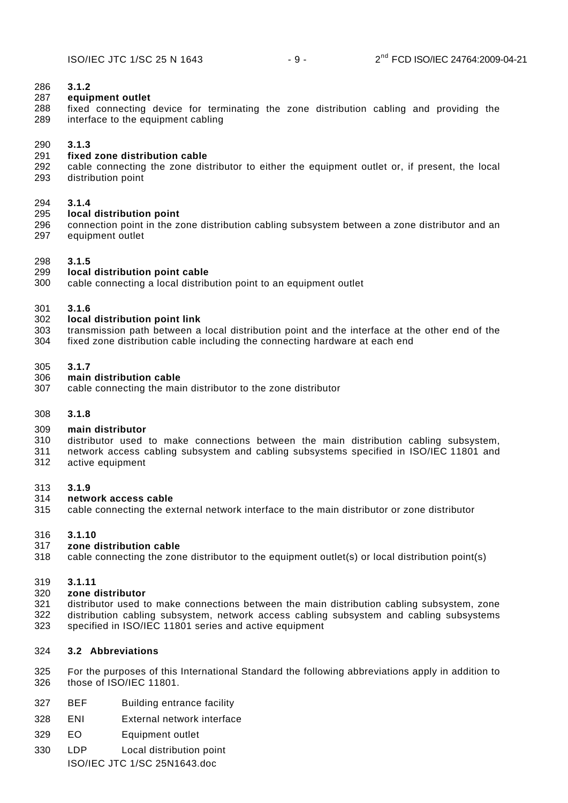#### 286 **3.1.2**

#### 287 **equipment outlet**

288 289 fixed connecting device for terminating the zone distribution cabling and providing the interface to the equipment cabling

#### 290 **3.1.3**

#### 291 **fixed zone distribution cable**

292 293 cable connecting the zone distributor to either the equipment outlet or, if present, the local distribution point

#### 294 **3.1.4**

#### 295 **local distribution point**

296 297 connection point in the zone distribution cabling subsystem between a zone distributor and an equipment outlet

#### 298 **3.1.5**

#### 299 **local distribution point cable**

300 cable connecting a local distribution point to an equipment outlet

#### 301 **3.1.6**

#### 302 **local distribution point link**

- 303 transmission path between a local distribution point and the interface at the other end of the
- 304 fixed zone distribution cable including the connecting hardware at each end

#### <span id="page-9-0"></span>305 **3.1.7**

#### 306 **main distribution cable**

307 cable connecting the main distributor to the zone distributor

#### 308 **3.1.8**

#### 309 **main distributor**

- 310 distributor used to make connections between the main distribution cabling subsystem,
- 311 312 network access cabling subsystem and cabling subsystems specified in ISO/IEC 11801 and active equipment

#### 313 **3.1.9**

#### 314 **network access cable**

315 cable connecting the external network interface to the main distributor or zone distributor

#### 316 **3.1.10**

#### 317 **zone distribution cable**

318 cable connecting the zone distributor to the equipment outlet(s) or local distribution point(s)

### 319 **3.1.11**

#### 320 **zone distributor**

- 321 distributor used to make connections between the main distribution cabling subsystem, zone
- 322 323 distribution cabling subsystem, network access cabling subsystem and cabling subsystems specified in ISO/IEC 11801 series and active equipment

### <span id="page-9-1"></span>324 **3.2 Abbreviations**

- 325 326 For the purposes of this International Standard the following abbreviations apply in addition to those of ISO/IEC 11801.
- 327 BEF Building entrance facility
- 328 ENI External network interface
- 329 EO Equipment outlet
- 330 LDP Local distribution point

ISO/IEC JTC 1/SC 25N1643.doc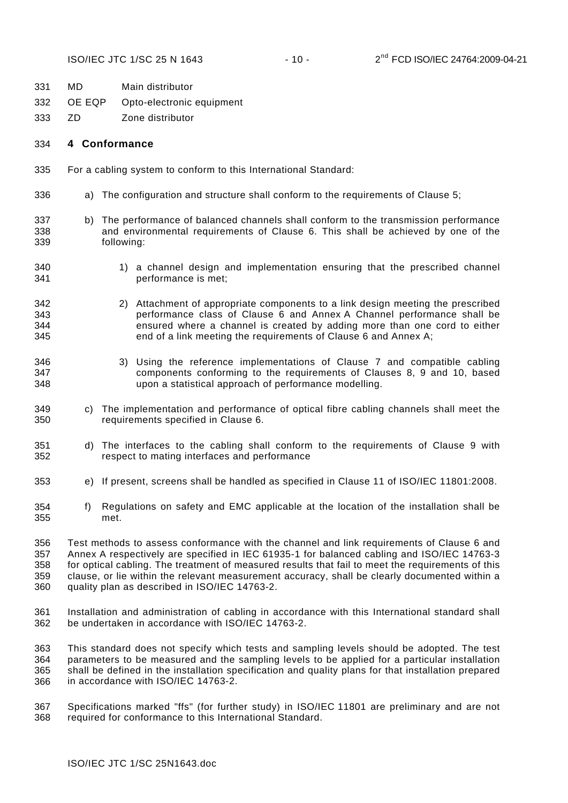- 331 MD Main distributor
- 332 OE EQP Opto-electronic equipment
- 333 ZD Zone distributor

#### <span id="page-10-0"></span>334 **4 Conformance**

- 335 For a cabling system to conform to this International Standard:
- 336 a) The configuration and structure shall conform to the requirements of Clause 5;
- 337 338 339 b) The performance of balanced channels shall conform to the transmission performance and environmental requirements of Clause [6](#page-19-2). This shall be achieved by one of the following:
- 340 341 1) a channel design and implementation ensuring that the prescribed channel performance is met;
- 342 343 344 345 2) Attachment of appropriate components to a link design meeting the prescribed performance class of Clause [6](#page-19-2) and [Annex A](#page-34-0) Channel performance shall be ensured where a channel is created by adding more than one cord to either end of a link meeting the requirements of Clause [6](#page-19-2) and [Annex A](#page-34-0);
- 346 347 348 3) Using the reference implementations of Clause [7](#page-21-0) and compatible cabling components conforming to the requirements of Clauses [8](#page-29-0), [9](#page-29-4) and [10,](#page-33-1) based upon a statistical approach of performance modelling.
- 349 350 c) The implementation and performance of optical fibre cabling channels shall meet the requirements specified in Clause [6.](#page-19-2)
- 351 352 d) The interfaces to the cabling shall conform to the requirements of Clause [9](#page-29-4) with respect to mating interfaces and performance
- 353 e) If present, screens shall be handled as specified in Clause 11 of ISO/IEC 11801:2008.
- 354 355 f) Regulations on safety and EMC applicable at the location of the installation shall be met.

356 357 358 359 360 Test methods to assess conformance with the channel and link requirements of Clause [6](#page-19-2) and [Annex A](#page-34-0) respectively are specified in IEC 61935-1 for balanced cabling and ISO/IEC 14763-3 for optical cabling. The treatment of measured results that fail to meet the requirements of this clause, or lie within the relevant measurement accuracy, shall be clearly documented within a quality plan as described in ISO/IEC 14763-2.

361 362 Installation and administration of cabling in accordance with this International standard shall be undertaken in accordance with ISO/IEC 14763-2.

363 364 365 366 This standard does not specify which tests and sampling levels should be adopted. The test parameters to be measured and the sampling levels to be applied for a particular installation shall be defined in the installation specification and quality plans for that installation prepared in accordance with ISO/IEC 14763-2.

367 368 Specifications marked "ffs" (for further study) in ISO/IEC 11801 are preliminary and are not required for conformance to this International Standard.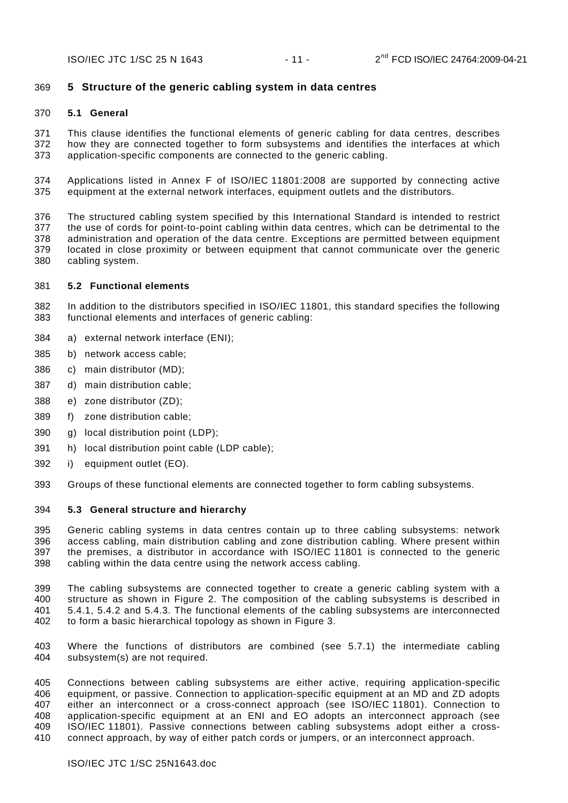# <span id="page-11-0"></span>369 **5 Structure of the generic cabling system in data centres**

# <span id="page-11-1"></span>370 **5.1 General**

371 372 373 This clause identifies the functional elements of generic cabling for data centres, describes how they are connected together to form subsystems and identifies the interfaces at which application-specific components are connected to the generic cabling.

374 375 Applications listed in Annex F of ISO/IEC 11801:2008 are supported by connecting active equipment at the external network interfaces, equipment outlets and the distributors.

376 377 378 379 380 The structured cabling system specified by this International Standard is intended to restrict the use of cords for point-to-point cabling within data centres, which can be detrimental to the administration and operation of the data centre. Exceptions are permitted between equipment located in close proximity or between equipment that cannot communicate over the generic cabling system.

# <span id="page-11-2"></span>381 **5.2 Functional elements**

382 383 In addition to the distributors specified in ISO/IEC 11801, this standard specifies the following functional elements and interfaces of generic cabling:

- 384 a) external network interface (ENI);
- 385 b) network access cable;
- 386 c) main distributor (MD);
- 387 d) main distribution cable;
- 388 e) zone distributor (ZD);
- 389 f) zone distribution cable;
- 390 g) local distribution point (LDP);
- 391 h) local distribution point cable (LDP cable);
- 392 i) equipment outlet (EO).
- 393 Groups of these functional elements are connected together to form cabling subsystems.

# <span id="page-11-3"></span>394 **5.3 General structure and hierarchy**

395 396 397 398 Generic cabling systems in data centres contain up to three cabling subsystems: network access cabling, main distribution cabling and zone distribution cabling. Where present within the premises, a distributor in accordance with ISO/IEC 11801 is connected to the generic cabling within the data centre using the network access cabling.

399 400 401 402 The cabling subsystems are connected together to create a generic cabling system with a structure as shown in [Figure 2](#page-12-1). The composition of the cabling subsystems is described in [5.4.1](#page-13-0), [5.4.2](#page-13-1) and [5.4.3](#page-13-2). The functional elements of the cabling subsystems are interconnected to form a basic hierarchical topology as shown in [Figure 3](#page-12-2).

403 404 Where the functions of distributors are combined (see [5.7.1\)](#page-16-1) the intermediate cabling subsystem(s) are not required.

405 406 407 408 409 410 Connections between cabling subsystems are either active, requiring application-specific equipment, or passive. Connection to application-specific equipment at an MD and ZD adopts either an interconnect or a cross-connect approach (see ISO/IEC 11801). Connection to application-specific equipment at an ENI and EO adopts an interconnect approach (see ISO/IEC 11801). Passive connections between cabling subsystems adopt either a crossconnect approach, by way of either patch cords or jumpers, or an interconnect approach.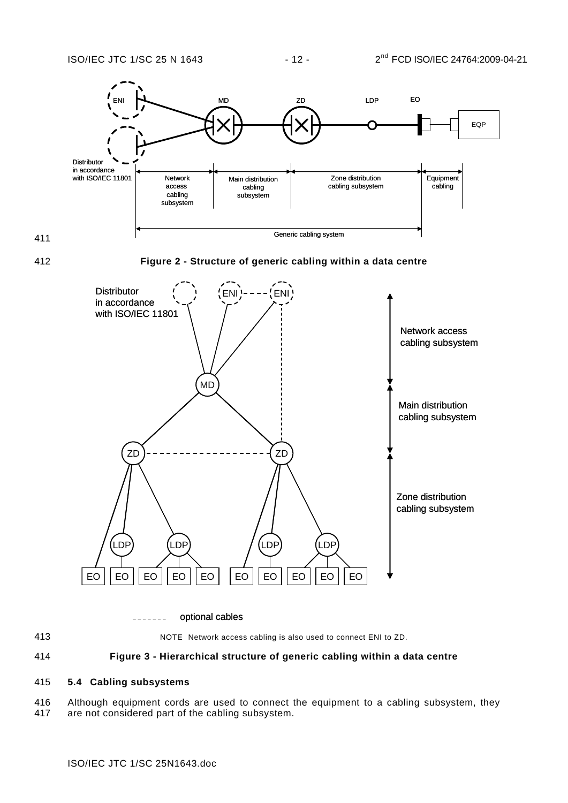<span id="page-12-1"></span>

optional cables -------

413

NOTE Network access cabling is also used to connect ENI to ZD.

#### <span id="page-12-2"></span>414 **Figure 3 - Hierarchical structure of generic cabling within a data centre**

### <span id="page-12-0"></span>415 **5.4 Cabling subsystems**

416 417 Although equipment cords are used to connect the equipment to a cabling subsystem, they are not considered part of the cabling subsystem.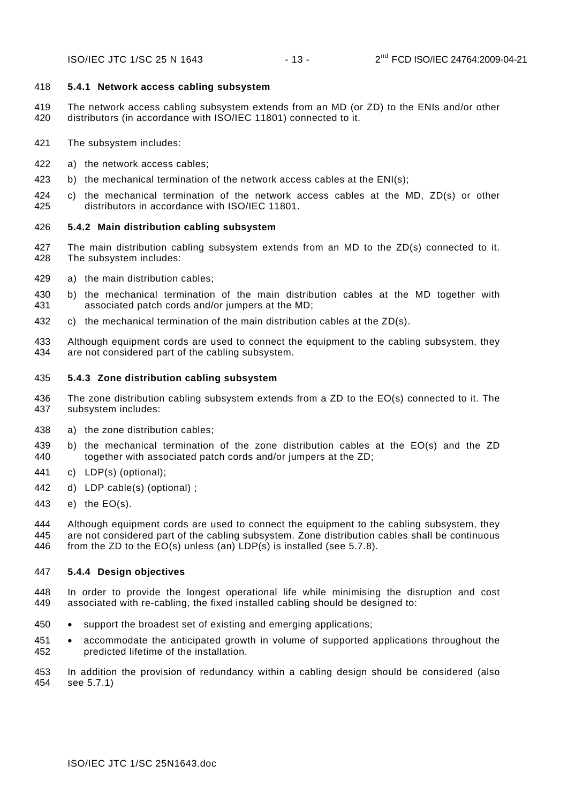#### <span id="page-13-0"></span>418 **5.4.1 Network access cabling subsystem**

- 419 420 The network access cabling subsystem extends from an MD (or ZD) to the ENIs and/or other distributors (in accordance with ISO/IEC 11801) connected to it.
- 421 The subsystem includes:
- 422 a) the network access cables;
- 423 b) the mechanical termination of the network access cables at the ENI(s);
- 425 424 c) the mechanical termination of the network access cables at the MD, ZD(s) or other distributors in accordance with ISO/IEC 11801.

#### <span id="page-13-1"></span>426 **5.4.2 Main distribution cabling subsystem**

- 427 428 The main distribution cabling subsystem extends from an MD to the ZD(s) connected to it. The subsystem includes:
- 429 a) the main distribution cables;
- 431 430 b) the mechanical termination of the main distribution cables at the MD together with associated patch cords and/or jumpers at the MD;
- 432 c) the mechanical termination of the main distribution cables at the ZD(s).
- 433 434 Although equipment cords are used to connect the equipment to the cabling subsystem, they are not considered part of the cabling subsystem.

#### <span id="page-13-2"></span>435 **5.4.3 Zone distribution cabling subsystem**

- 436 437 The zone distribution cabling subsystem extends from a ZD to the EO(s) connected to it. The subsystem includes:
- 438 a) the zone distribution cables;
- 440 439 b) the mechanical termination of the zone distribution cables at the EO(s) and the ZD together with associated patch cords and/or jumpers at the ZD;
- 441 c) LDP(s) (optional);
- 442 d) LDP cable(s) (optional) ;
- 443 e) the EO(s).

444 445 446 Although equipment cords are used to connect the equipment to the cabling subsystem, they are not considered part of the cabling subsystem. Zone distribution cables shall be continuous from the ZD to the EO(s) unless (an) LDP(s) is installed (see [5.7.8\)](#page-18-4).

#### <span id="page-13-3"></span>447 **5.4.4 Design objectives**

448 449 In order to provide the longest operational life while minimising the disruption and cost associated with re-cabling, the fixed installed cabling should be designed to:

- 450 support the broadest set of existing and emerging applications;
- 451 452 accommodate the anticipated growth in volume of supported applications throughout the predicted lifetime of the installation.

453 454 In addition the provision of redundancy within a cabling design should be considered (also see 5.7.1)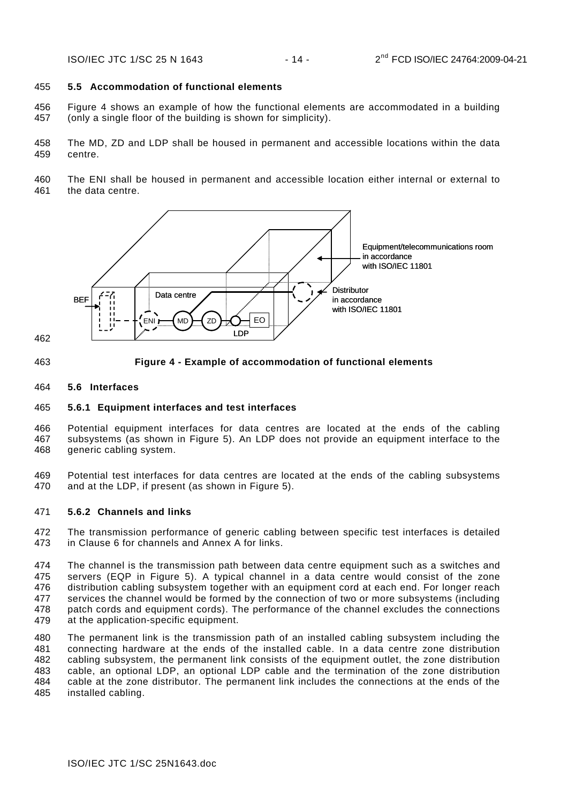#### <span id="page-14-0"></span>455 **5.5 Accommodation of functional elements**

- 456 457 [Figure 4](#page-14-4) shows an example of how the functional elements are accommodated in a building (only a single floor of the building is shown for simplicity).
- 458 459 The MD, ZD and LDP shall be housed in permanent and accessible locations within the data centre.
- 460 461 The ENI shall be housed in permanent and accessible location either internal or external to the data centre.



<span id="page-14-4"></span>463

### **Figure 4 - Example of accommodation of functional elements**

#### <span id="page-14-1"></span>464 **5.6 Interfaces**

#### <span id="page-14-2"></span>465 **5.6.1 Equipment interfaces and test interfaces**

466 467 468 Potential equipment interfaces for data centres are located at the ends of the cabling subsystems (as shown in [Figure 5\)](#page-15-0). An LDP does not provide an equipment interface to the generic cabling system.

469 470 Potential test interfaces for data centres are located at the ends of the cabling subsystems and at the LDP, if present (as shown in [Figure 5\)](#page-15-0).

### <span id="page-14-3"></span>471 **5.6.2 Channels and links**

472 473 The transmission performance of generic cabling between specific test interfaces is detailed in Clause [6](#page-19-2) for channels and Annex A for links.

474 475 476 477 478 479 The channel is the transmission path between data centre equipment such as a switches and servers (EQP in [Figure 5\)](#page-15-0). A typical channel in a data centre would consist of the zone distribution cabling subsystem together with an equipment cord at each end. For longer reach services the channel would be formed by the connection of two or more subsystems (including patch cords and equipment cords). The performance of the channel excludes the connections at the application-specific equipment.

480 481 482 483 484 485 The permanent link is the transmission path of an installed cabling subsystem including the connecting hardware at the ends of the installed cable. In a data centre zone distribution cabling subsystem, the permanent link consists of the equipment outlet, the zone distribution cable, an optional LDP, an optional LDP cable and the termination of the zone distribution cable at the zone distributor. The permanent link includes the connections at the ends of the installed cabling.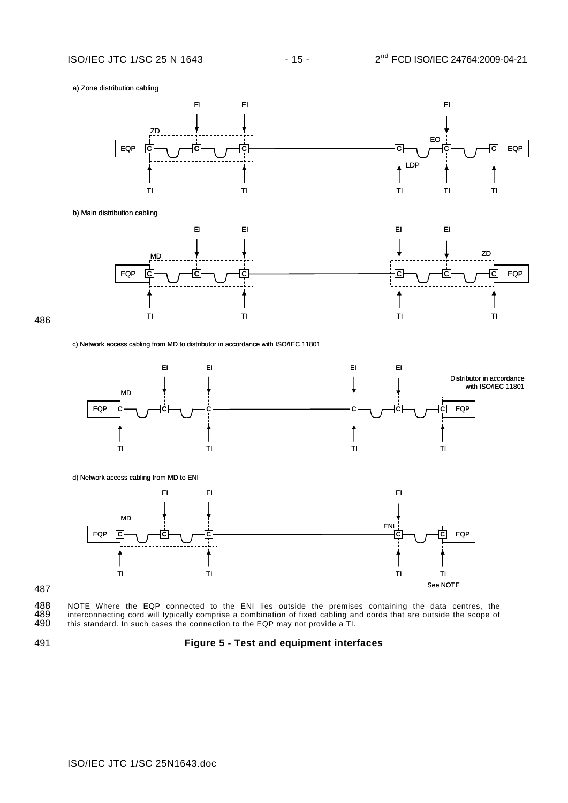

EQP **C C C C** EQP TI TI EI EI EI ZD



b) Main distribution cabling



486

#### c) Network access cabling from MD to distributor in accordance with ISO/IEC 11801



488 NOTE Where the EQP connected to the ENI lies outside the premises containing the data centres, the 489 interconnecting cord will typically comprise a combination of fixed cabling and cords that are outside the scope of 489 interconnecting cord will typically comprise a combination of fixed cabling and cords that are outside the scope of 490 this standard. In such cases the connection to the EQP may not provide a TI. this standard. In such cases the connection to the EQP may not provide a TI.

<span id="page-15-0"></span>491

### **Figure 5 - Test and equipment interfaces**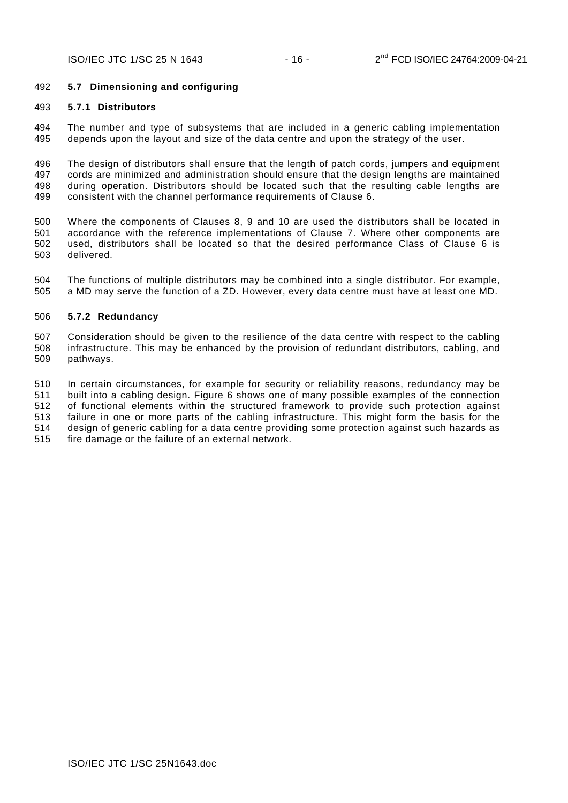### <span id="page-16-0"></span>492 **5.7 Dimensioning and configuring**

#### <span id="page-16-1"></span>493 **5.7.1 Distributors**

494 495 The number and type of subsystems that are included in a generic cabling implementation depends upon the layout and size of the data centre and upon the strategy of the user.

496 497 498 499 The design of distributors shall ensure that the length of patch cords, jumpers and equipment cords are minimized and administration should ensure that the design lengths are maintained during operation. Distributors should be located such that the resulting cable lengths are consistent with the channel performance requirements of Clause [6.](#page-19-2)

500 501 502 503 Where the components of Clauses [8](#page-29-0), [9](#page-33-6) and [10](#page-33-1) are used the distributors shall be located in accordance with the reference implementations of Clause [7](#page-21-0). Where other components are used, distributors shall be located so that the desired performance Class of Clause [6](#page-19-2) is delivered.

504 505 The functions of multiple distributors may be combined into a single distributor. For example, a MD may serve the function of a ZD. However, every data centre must have at least one MD.

#### <span id="page-16-2"></span>506 **5.7.2 Redundancy**

507 508 509 Consideration should be given to the resilience of the data centre with respect to the cabling infrastructure. This may be enhanced by the provision of redundant distributors, cabling, and pathways.

510 511 512 513 514 515 In certain circumstances, for example for security or reliability reasons, redundancy may be built into a cabling design. [Figure 6](#page-17-1) shows one of many possible examples of the connection of functional elements within the structured framework to provide such protection against failure in one or more parts of the cabling infrastructure. This might form the basis for the design of generic cabling for a data centre providing some protection against such hazards as fire damage or the failure of an external network.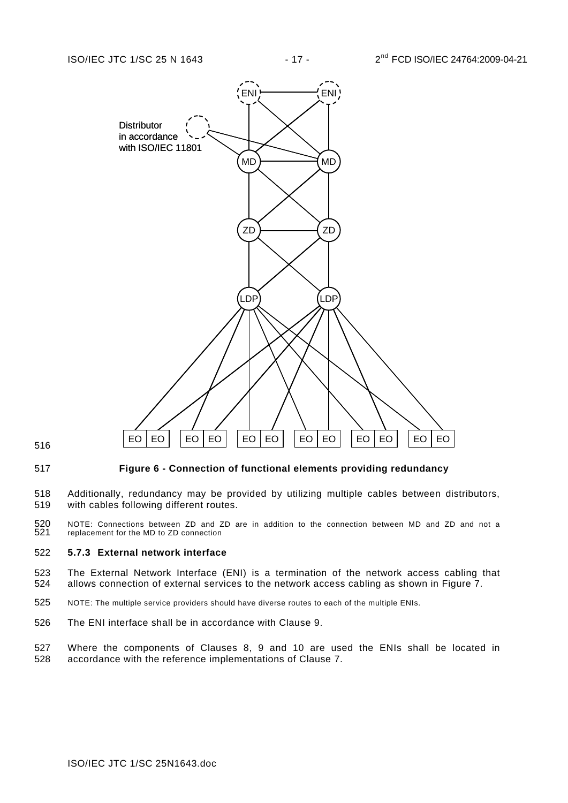

<span id="page-17-1"></span>

#### **Figure 6 - Connection of functional elements providing redundancy**

- 518 519 Additionally, redundancy may be provided by utilizing multiple cables between distributors, with cables following different routes.
- 520 521 NOTE: Connections between ZD and ZD are in addition to the connection between MD and ZD and not a replacement for the MD to ZD connection

### <span id="page-17-0"></span>522 **5.7.3 External network interface**

- 523 524 The External Network Interface (ENI) is a termination of the network access cabling that allows connection of external services to the network access cabling as shown in [Figure 7](#page-18-5).
- 525 NOTE: The multiple service providers should have diverse routes to each of the multiple ENIs.
- 526 The ENI interface shall be in accordance with Clause [9](#page-33-6).
- 527 528 Where the components of Clauses [8](#page-29-0), [9](#page-33-6) and [10](#page-33-1) are used the ENIs shall be located in accordance with the reference implementations of Clause [7](#page-21-0).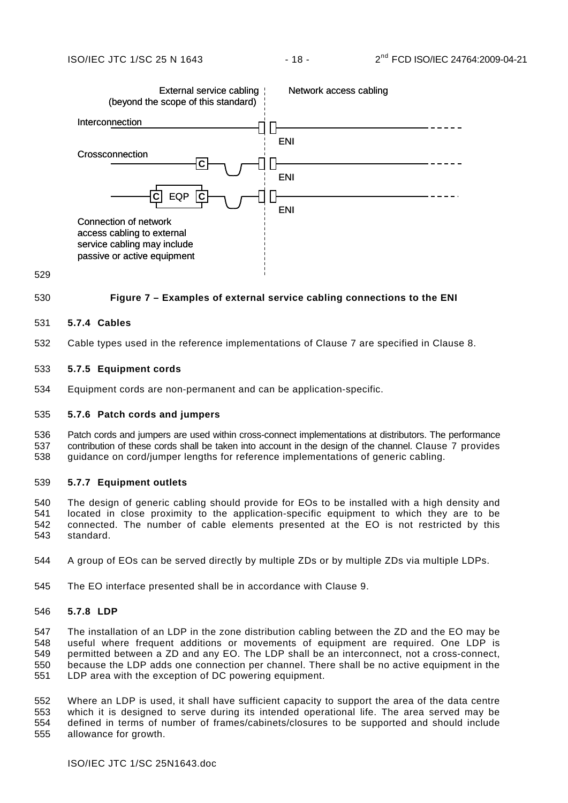

#### <span id="page-18-5"></span>530 **Figure 7 – Examples of external service cabling connections to the ENI**

#### <span id="page-18-0"></span>531 **5.7.4 Cables**

532 Cable types used in the reference implementations of Clause [7](#page-21-0) are specified in Clause [8](#page-29-0).

### <span id="page-18-1"></span>533 **5.7.5 Equipment cords**

534 Equipment cords are non-permanent and can be application-specific.

#### <span id="page-18-2"></span>535 **5.7.6 Patch cords and jumpers**

536 537 538 Patch cords and jumpers are used within cross-connect implementations at distributors. The performance contribution of these cords shall be taken into account in the design of the channel. Clause [7](#page-21-0) provides guidance on cord/jumper lengths for reference implementations of generic cabling.

#### <span id="page-18-3"></span>539 **5.7.7 Equipment outlets**

540 541 542 543 The design of generic cabling should provide for EOs to be installed with a high density and located in close proximity to the application-specific equipment to which they are to be connected. The number of cable elements presented at the EO is not restricted by this standard.

- 544 A group of EOs can be served directly by multiple ZDs or by multiple ZDs via multiple LDPs.
- 545 The EO interface presented shall be in accordance with Clause [9](#page-33-6).

#### <span id="page-18-4"></span>546 **5.7.8 LDP**

547 548 549 550 551 The installation of an LDP in the zone distribution cabling between the ZD and the EO may be useful where frequent additions or movements of equipment are required. One LDP is permitted between a ZD and any EO. The LDP shall be an interconnect, not a cross-connect, because the LDP adds one connection per channel. There shall be no active equipment in the LDP area with the exception of DC powering equipment.

552 553 554 555 Where an LDP is used, it shall have sufficient capacity to support the area of the data centre which it is designed to serve during its intended operational life. The area served may be defined in terms of number of frames/cabinets/closures to be supported and should include allowance for growth.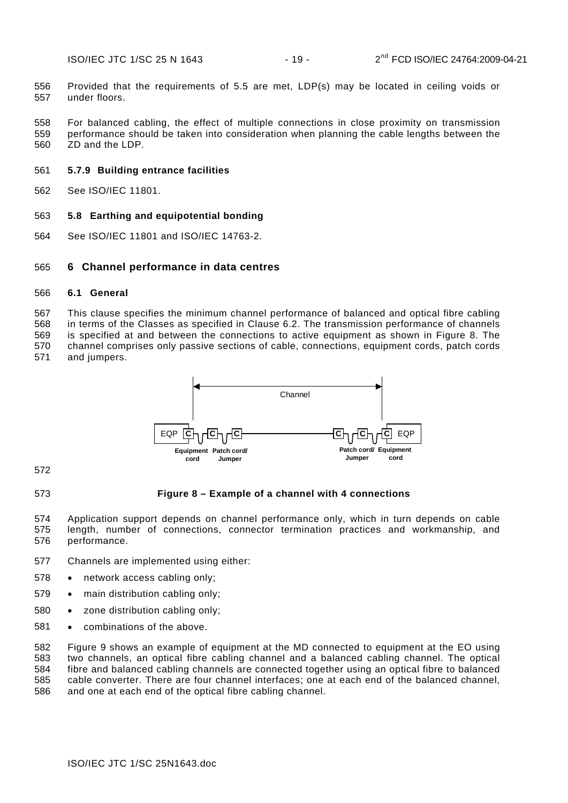556 557 Provided that the requirements of [5.5](#page-14-0) are met, LDP(s) may be located in ceiling voids or under floors.

558 559 560 For balanced cabling, the effect of multiple connections in close proximity on transmission performance should be taken into consideration when planning the cable lengths between the ZD and the LDP.

# <span id="page-19-0"></span>561 **5.7.9 Building entrance facilities**

562 See ISO/IEC 11801.

# <span id="page-19-1"></span>563 **5.8 Earthing and equipotential bonding**

564 See ISO/IEC 11801 and ISO/IEC 14763-2.

# <span id="page-19-2"></span>565 **6 Channel performance in data centres**

# <span id="page-19-3"></span>566 **6.1 General**

567 568 569 570 571 This clause specifies the minimum channel performance of balanced and optical fibre cabling in terms of the Classes as specified in Clause [6.2.](#page-20-0) The transmission performance of channels is specified at and between the connections to active equipment as shown in [Figure 8.](#page-19-4) The channel comprises only passive sections of cable, connections, equipment cords, patch cords and jumpers.



572

# <span id="page-19-4"></span>573

# **Figure 8 – Example of a channel with 4 connections**

574 575 576 Application support depends on channel performance only, which in turn depends on cable length, number of connections, connector termination practices and workmanship, and performance.

- 577 Channels are implemented using either:
- 578 network access cabling only;
- 579 • main distribution cabling only:
- 580 zone distribution cabling only;
- 581 combinations of the above.

582 583 584 585 586 [Figure 9](#page-20-4) shows an example of equipment at the MD connected to equipment at the EO using two channels, an optical fibre cabling channel and a balanced cabling channel. The optical fibre and balanced cabling channels are connected together using an optical fibre to balanced cable converter. There are four channel interfaces; one at each end of the balanced channel, and one at each end of the optical fibre cabling channel.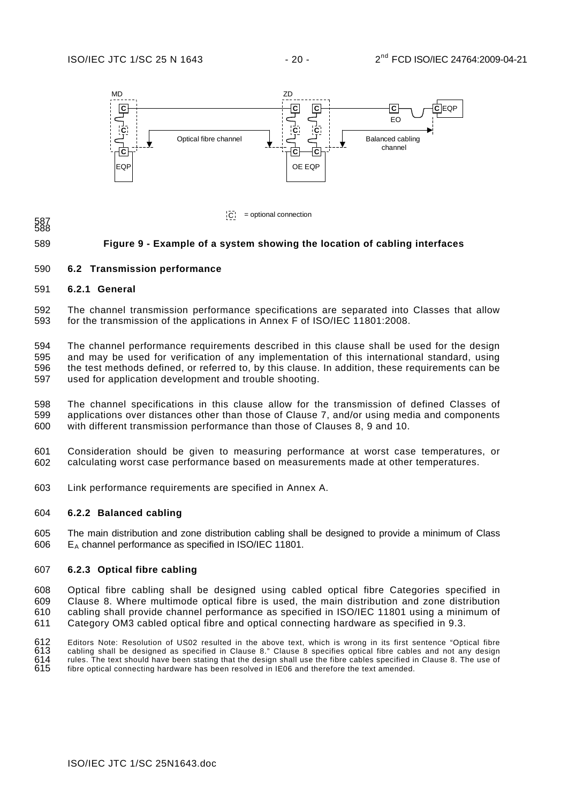

 $|C|$  = optional connection

#### <span id="page-20-4"></span>589 **Figure 9 - Example of a system showing the location of cabling interfaces**

### <span id="page-20-0"></span>590 **6.2 Transmission performance**

#### <span id="page-20-1"></span>591 **6.2.1 General**

587 588

592 593 The channel transmission performance specifications are separated into Classes that allow for the transmission of the applications in Annex F of ISO/IEC 11801:2008.

594 595 596 597 The channel performance requirements described in this clause shall be used for the design and may be used for verification of any implementation of this international standard, using the test methods defined, or referred to, by this clause. In addition, these requirements can be used for application development and trouble shooting.

598 599 600 The channel specifications in this clause allow for the transmission of defined Classes of applications over distances other than those of Clause [7](#page-21-0), and/or using media and components with different transmission performance than those of Clauses [8](#page-29-0), [9](#page-33-6) and [10.](#page-33-1)

- 601 602 Consideration should be given to measuring performance at worst case temperatures, or calculating worst case performance based on measurements made at other temperatures.
- 603 Link performance requirements are specified in [Annex A.](#page-34-0)

#### <span id="page-20-2"></span>604 **6.2.2 Balanced cabling**

605 606 The main distribution and zone distribution cabling shall be designed to provide a minimum of Class  $E_A$  channel performance as specified in ISO/IEC 11801.

#### <span id="page-20-3"></span>607 **6.2.3 Optical fibre cabling**

608 609 610 611 Optical fibre cabling shall be designed using cabled optical fibre Categories specified in Clause [8](#page-29-0). Where multimode optical fibre is used, the main distribution and zone distribution cabling shall provide channel performance as specified in ISO/IEC 11801 using a minimum of Category OM3 cabled optical fibre and optical connecting hardware as specified in [9.3.](#page-32-0)

612 Editors Note: Resolution of US02 resulted in the above text, which is wrong in its first sentence "Optical fibre

613 614 cabling shall be designed as specified in Clause 8." Clause 8 specifies optical fibre cables and not any design rules. The text should have been stating that the design shall use the fibre cables specified in Clause 8. The use of

615 fibre optical connecting hardware has been resolved in IE06 and therefore the text amended.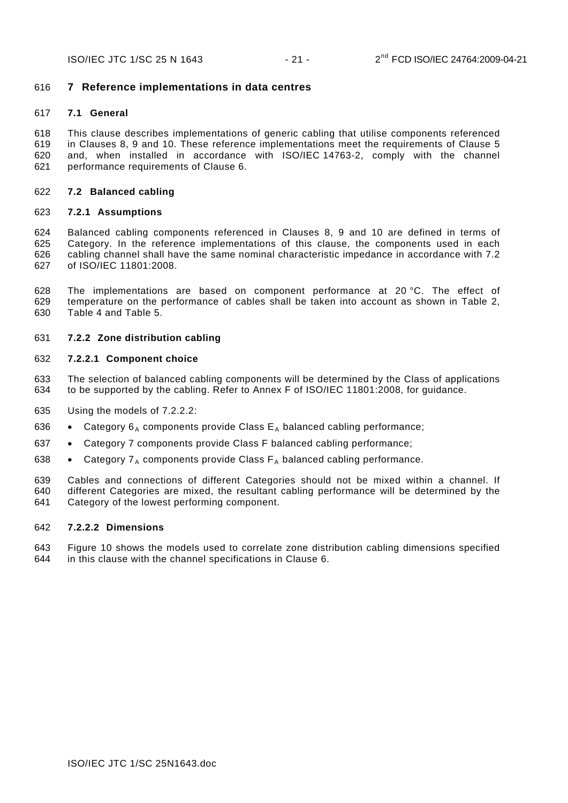### <span id="page-21-0"></span>616 **7 Reference implementations in data centres**

#### <span id="page-21-1"></span>617 **7.1 General**

618 619 620 621 This clause describes implementations of generic cabling that utilise components referenced in Clauses [8,](#page-29-0) [9](#page-33-6) and [10](#page-33-1). These reference implementations meet the requirements of Clause [5](#page-11-0) and, when installed in accordance with ISO/IEC 14763-2, comply with the channel performance requirements of Clause [6.](#page-19-2)

#### <span id="page-21-2"></span>622 **7.2 Balanced cabling**

#### <span id="page-21-3"></span>623 **7.2.1 Assumptions**

624 625 626 627 Balanced cabling components referenced in Clauses [8](#page-29-0), [9](#page-33-6) and [10](#page-33-1) are defined in terms of Category. In the reference implementations of this clause, the components used in each cabling channel shall have the same nominal characteristic impedance in accordance with 7.2 of ISO/IEC 11801:2008.

628 629 630 The implementations are based on component performance at 20 °C. The effect of temperature on the performance of cables shall be taken into account as shown in [Table 2](#page-24-1), [Table 4](#page-26-1) and [Table 5.](#page-28-4)

#### <span id="page-21-4"></span>631 **7.2.2 Zone distribution cabling**

#### 632 **7.2.2.1 Component choice**

633 634 The selection of balanced cabling components will be determined by the Class of applications to be supported by the cabling. Refer to Annex F of ISO/IEC 11801:2008, for guidance.

- 635 Using the models of [7.2.2.2:](#page-21-5)
- 636 Category  $6_A$  components provide Class  $E_A$  balanced cabling performance;
- 637 Category 7 components provide Class F balanced cabling performance;
- 638 • Category  $7_A$  components provide Class  $F_A$  balanced cabling performance.

639 640 641 Cables and connections of different Categories should not be mixed within a channel. If different Categories are mixed, the resultant cabling performance will be determined by the Category of the lowest performing component.

#### <span id="page-21-5"></span>642 **7.2.2.2 Dimensions**

643 644 [Figure 10](#page-22-0) shows the models used to correlate zone distribution cabling dimensions specified in this clause with the channel specifications in Clause [6](#page-19-2).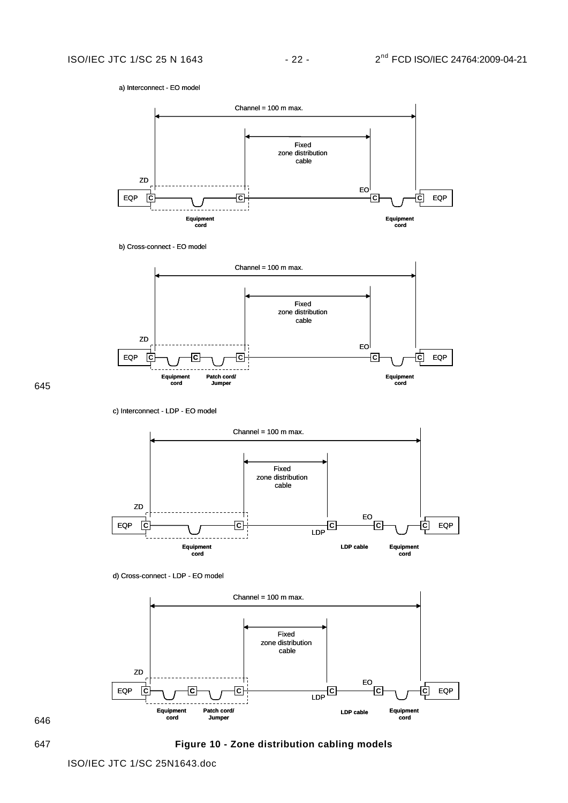a) Interconnect - EO model







645

c) Interconnect - LDP - EO model



d) Cross-connect - LDP - EO model



646

<span id="page-22-0"></span>647 **Figure 10 - Zone distribution cabling models**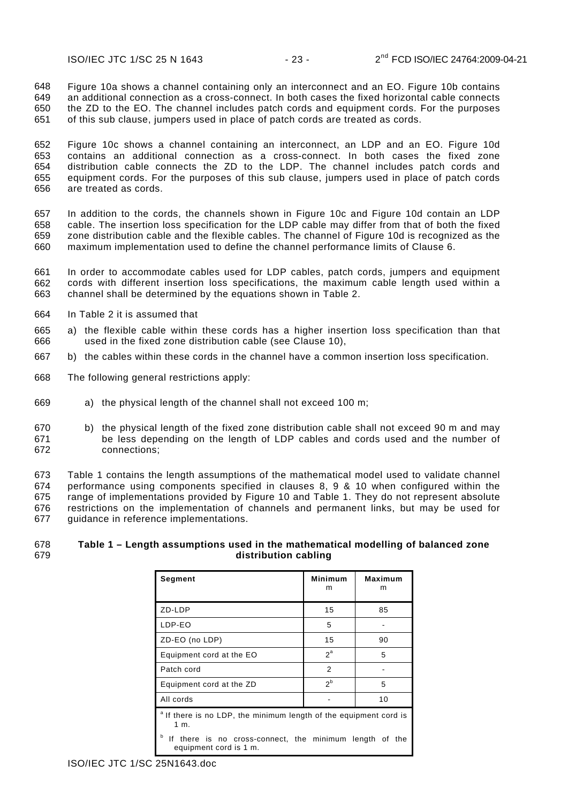648 649 650 651 [Figure 10](#page-22-0)a shows a channel containing only an interconnect and an EO. [Figure 10](#page-22-0)b contains an additional connection as a cross-connect. In both cases the fixed horizontal cable connects the ZD to the EO. The channel includes patch cords and equipment cords. For the purposes of this sub clause, jumpers used in place of patch cords are treated as cords.

652 653 654 655 656 [Figure 10](#page-22-0)c shows a channel containing an interconnect, an LDP and an EO. [Figure 10d](#page-22-0) contains an additional connection as a cross-connect. In both cases the fixed zone distribution cable connects the ZD to the LDP. The channel includes patch cords and equipment cords. For the purposes of this sub clause, jumpers used in place of patch cords are treated as cords.

657 658 659 660 In addition to the cords, the channels shown in [Figure 10c](#page-22-0) and [Figure 10](#page-22-0)d contain an LDP cable. The insertion loss specification for the LDP cable may differ from that of both the fixed zone distribution cable and the flexible cables. The channel of [Figure 10](#page-22-0)d is recognized as the maximum implementation used to define the channel performance limits of Clause [6](#page-19-2).

661 662 663 In order to accommodate cables used for LDP cables, patch cords, jumpers and equipment cords with different insertion loss specifications, the maximum cable length used within a channel shall be determined by the equations shown in [Table 2](#page-24-1).

- 664 In [Table 2](#page-24-1) it is assumed that
- 666 665 a) the flexible cable within these cords has a higher insertion loss specification than that used in the fixed zone distribution cable (see Clause [10](#page-33-1)),
- 667 b) the cables within these cords in the channel have a common insertion loss specification.
- 668 The following general restrictions apply:
- 669 a) the physical length of the channel shall not exceed 100 m;
- 670 671 672 b) the physical length of the fixed zone distribution cable shall not exceed 90 m and may be less depending on the length of LDP cables and cords used and the number of connections;

673 674 675 676 677 [Table 1](#page-23-0) contains the length assumptions of the mathematical model used to validate channel performance using components specified in clauses [8](#page-29-0), [9](#page-29-4) & [10](#page-33-1) when configured within the range of implementations provided by [Figure 10](#page-22-0) and [Table 1.](#page-23-0) They do not represent absolute restrictions on the implementation of channels and permanent links, but may be used for guidance in reference implementations.

#### <span id="page-23-0"></span>678 679 **Table 1 – Length assumptions used in the mathematical modelling of balanced zone distribution cabling**

| Segment                                                                                | <b>Minimum</b><br>m | Maximum<br>m |  |  |  |
|----------------------------------------------------------------------------------------|---------------------|--------------|--|--|--|
| ZD-LDP                                                                                 | 15                  | 85           |  |  |  |
| LDP-EO                                                                                 | 5                   |              |  |  |  |
| ZD-EO (no LDP)                                                                         | 15                  | 90           |  |  |  |
| Equipment cord at the EO                                                               | $2^a$               | 5            |  |  |  |
| Patch cord                                                                             | 2                   |              |  |  |  |
| Equipment cord at the ZD                                                               | 2 <sup>b</sup>      | 5            |  |  |  |
| All cords                                                                              |                     | 10           |  |  |  |
| <sup>a</sup> If there is no LDP, the minimum length of the equipment cord is<br>1 m.   |                     |              |  |  |  |
| b<br>If there is no cross-connect, the minimum length of the<br>equipment cord is 1 m. |                     |              |  |  |  |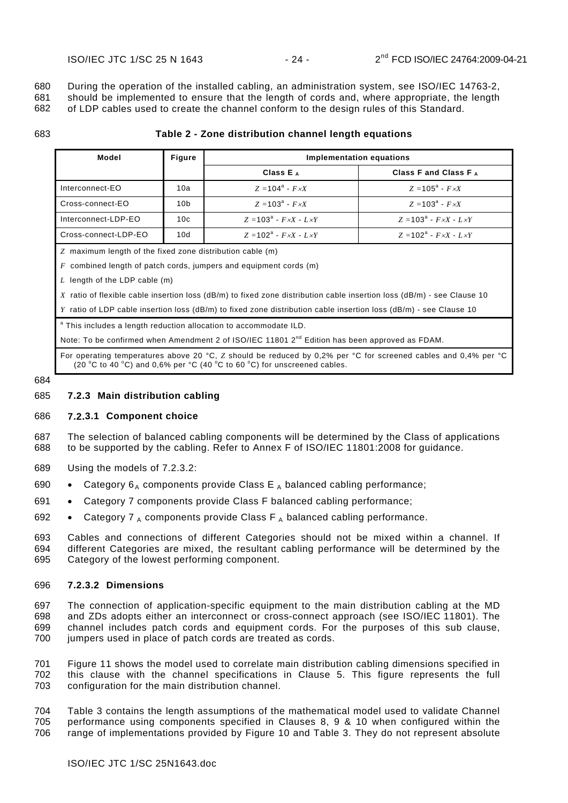680 681 During the operation of the installed cabling, an administration system, see ISO/IEC 14763-2, should be implemented to ensure that the length of cords and, where appropriate, the length

682 of LDP cables used to create the channel conform to the design rules of this Standard.

<span id="page-24-1"></span>683

#### **Table 2 - Zone distribution channel length equations**

| Model                                                               | Figure          | Implementation equations                    |                                             |  |  |  |
|---------------------------------------------------------------------|-----------------|---------------------------------------------|---------------------------------------------|--|--|--|
|                                                                     |                 | Class $E_A$                                 | Class F and Class F $_A$                    |  |  |  |
| Interconnect-EO                                                     | 10a             | $Z = 104^a - F \times X$                    | $Z = 105^{\circ} - F \times X$              |  |  |  |
| Cross-connect-EO                                                    | 10 <sub>b</sub> | $Z = 103^{\circ} - F \times X$              | $Z = 103^{\circ} - F \times X$              |  |  |  |
| Interconnect-LDP-EO                                                 | 10c             | $Z = 103^{\circ} - F \times X - L \times Y$ | $Z = 103^{\circ} - F \times X - L \times Y$ |  |  |  |
| Cross-connect-LDP-EO                                                | 10d             | $Z = 102^a - F \times X - L \times Y$       | $Z = 102^{\circ} - F \times X - L \times Y$ |  |  |  |
| Z maximum length of the fixed zone distribution cable (m)           |                 |                                             |                                             |  |  |  |
| $F$ combined length of patch cords, jumpers and equipment cords (m) |                 |                                             |                                             |  |  |  |
| L length of the LDP cable $(m)$                                     |                 |                                             |                                             |  |  |  |

*X* ratio of flexible cable insertion loss (dB/m) to fixed zone distribution cable insertion loss (dB/m) - see Clause [10](#page-33-1) 

*Y* ratio of LDP cable insertion loss (dB/m) to fixed zone distribution cable insertion loss (dB/m) - see Clause [10](#page-33-1) 

a This includes a length reduction allocation to accommodate ILD.

Note: To be confirmed when Amendment 2 of ISO/IEC 11801  $2<sup>nd</sup>$  Edition has been approved as FDAM.

For operating temperatures above 20 °C, *Z* should be reduced by 0,2% per °C for screened cables and 0,4% per °C (20 °C to 40 °C) and 0,6% per °C (40 °C to 60 °C) for unscreened cables.

#### 684

#### <span id="page-24-0"></span>685 **7.2.3 Main distribution cabling**

#### 686 **7.2.3.1 Component choice**

687 688 The selection of balanced cabling components will be determined by the Class of applications to be supported by the cabling. Refer to Annex F of ISO/IEC 11801:2008 for guidance.

- 689 Using the models of [7.2.3.2:](#page-24-2)
- 690 Category  $6_A$  components provide Class E  $_A$  balanced cabling performance;
- 691 Category 7 components provide Class F balanced cabling performance;
- 692 • Category 7  $_A$  components provide Class F  $_A$  balanced cabling performance.

693 694 695 Cables and connections of different Categories should not be mixed within a channel. If different Categories are mixed, the resultant cabling performance will be determined by the Category of the lowest performing component.

#### <span id="page-24-2"></span>696 **7.2.3.2 Dimensions**

697 698 699 700 The connection of application-specific equipment to the main distribution cabling at the MD and ZDs adopts either an interconnect or cross-connect approach (see ISO/IEC 11801). The channel includes patch cords and equipment cords. For the purposes of this sub clause, jumpers used in place of patch cords are treated as cords.

701 702 703 [Figure 11](#page-25-0) shows the model used to correlate main distribution cabling dimensions specified in this clause with the channel specifications in Clause [5](#page-11-0). This figure represents the full configuration for the main distribution channel.

704 705 706 [Table 3](#page-25-1) contains the length assumptions of the mathematical model used to validate Channel performance using components specified in Clauses [8](#page-29-0), [9](#page-29-4) & [10](#page-33-1) when configured within the range of implementations provided by [Figure 10](#page-22-0) and [Table 3.](#page-25-1) They do not represent absolute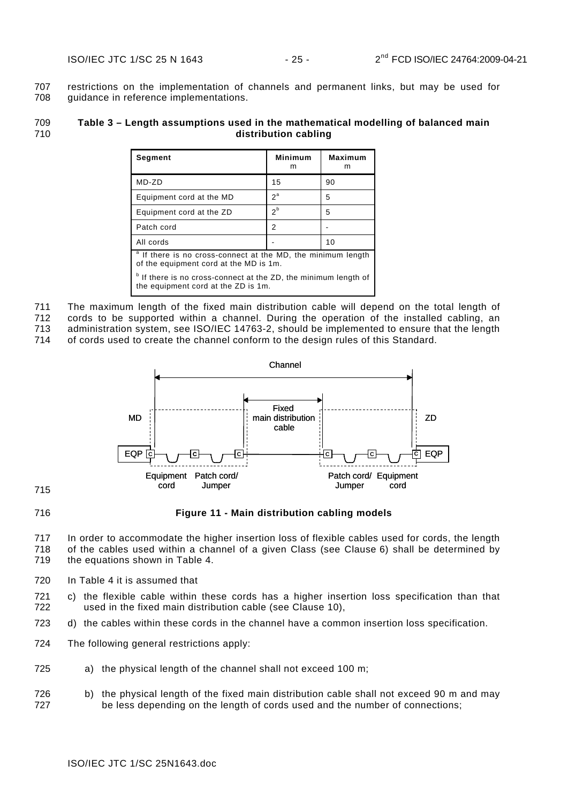707 708 restrictions on the implementation of channels and permanent links, but may be used for guidance in reference implementations.

#### <span id="page-25-1"></span>709 710 **Table 3 – Length assumptions used in the mathematical modelling of balanced main distribution cabling**

| Segment                                                                                                           | <b>Minimum</b><br>m | <b>Maximum</b><br>m |  |  |  |
|-------------------------------------------------------------------------------------------------------------------|---------------------|---------------------|--|--|--|
| $MD-ZD$                                                                                                           | 15                  | 90                  |  |  |  |
| Equipment cord at the MD                                                                                          | $2^a$               | 5                   |  |  |  |
| Equipment cord at the ZD                                                                                          | $2^b$               | 5                   |  |  |  |
| Patch cord                                                                                                        | 2                   |                     |  |  |  |
| All cords                                                                                                         |                     | 10                  |  |  |  |
| <sup>a</sup> If there is no cross-connect at the MD, the minimum length<br>of the equipment cord at the MD is 1m. |                     |                     |  |  |  |
| If there is no cross-connect at the ZD, the minimum length of<br>the equipment cord at the ZD is 1m.              |                     |                     |  |  |  |

711 712 713 The maximum length of the fixed main distribution cable will depend on the total length of cords to be supported within a channel. During the operation of the installed cabling, an administration system, see ISO/IEC 14763-2, should be implemented to ensure that the length

714 of cords used to create the channel conform to the design rules of this Standard.



<span id="page-25-0"></span>715 716

**Figure 11 - Main distribution cabling models** 

717 718 719 In order to accommodate the higher insertion loss of flexible cables used for cords, the length of the cables used within a channel of a given Class (see Clause [6\)](#page-19-2) shall be determined by the equations shown in [Table 4](#page-26-1).

- 720 In [Table 4](#page-26-1) it is assumed that
- 722 721 c) the flexible cable within these cords has a higher insertion loss specification than that used in the fixed main distribution cable (see Clause [10](#page-33-1)),
- 723 d) the cables within these cords in the channel have a common insertion loss specification.
- 724 The following general restrictions apply:
- 725 a) the physical length of the channel shall not exceed 100 m;
- 726 727 b) the physical length of the fixed main distribution cable shall not exceed 90 m and may be less depending on the length of cords used and the number of connections;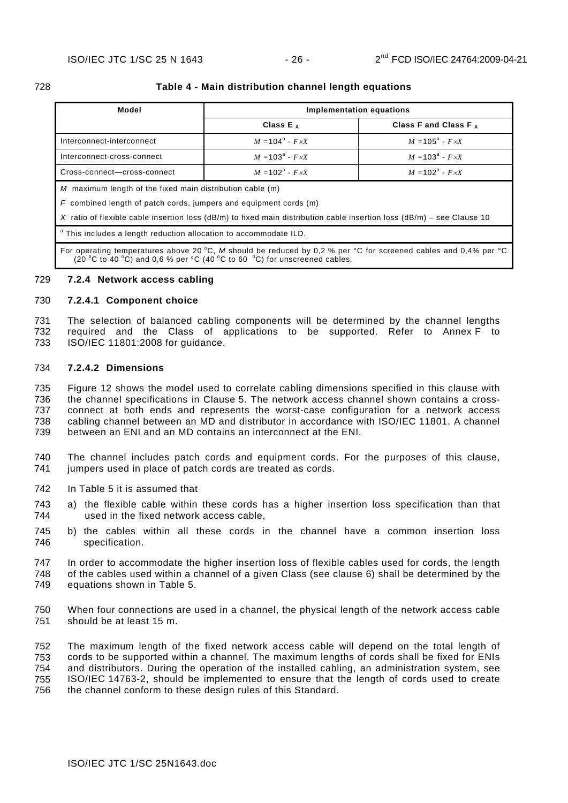<span id="page-26-1"></span>

| ×<br>۰. |
|---------|

#### 728 **Table 4 - Main distribution channel length equations**

| Model                                                             | Implementation equations       |                                |  |  |  |
|-------------------------------------------------------------------|--------------------------------|--------------------------------|--|--|--|
|                                                                   | Class $E_A$                    | Class F and Class F $_A$       |  |  |  |
| Interconnect-interconnect                                         | $M = 104^a - F \times X$       | $M = 105^{\circ} - F \times X$ |  |  |  |
| Interconnect-cross-connect                                        | $M = 103^{\circ} - F \times X$ | $M = 103^{\circ} - F \times X$ |  |  |  |
| Cross-connect-cross-connect                                       | $M = 102^a - F \times X$       | $M = 102^a - F \times X$       |  |  |  |
| M maximum length of the fixed main distribution cable (m)         |                                |                                |  |  |  |
| F combined length of patch cords, jumpers and equipment cords (m) |                                |                                |  |  |  |

*X* ratio of flexible cable insertion loss (dB/m) to fixed main distribution cable insertion loss (dB/m) – see Clause [10](#page-33-1) 

<sup>a</sup> This includes a length reduction allocation to accommodate ILD.

For operating temperatures above 20 °C, *M* should be reduced by 0,2 % per °C for screened cables and 0,4% per °C (20 °C to 40 °C) and 0,6 % per °C (40 °C to 60 °C) for unscreened cables.

#### <span id="page-26-0"></span>729 **7.2.4 Network access cabling**

#### 730 **7.2.4.1 Component choice**

The selection of balanced cabling components will be determined by the channel lengths required and the Class of applications to be supported. Refer to Annex F to ISO/IEC 11801:2008 for guidance. 731 732 733

#### 734 **7.2.4.2 Dimensions**

735 736 737 738 739 [Figure 12](#page-27-0) shows the model used to correlate cabling dimensions specified in this clause with the channel specifications in Clause [5](#page-11-0). The network access channel shown contains a crossconnect at both ends and represents the worst-case configuration for a network access cabling channel between an MD and distributor in accordance with ISO/IEC 11801. A channel between an ENI and an MD contains an interconnect at the ENI.

- 740 741 The channel includes patch cords and equipment cords. For the purposes of this clause, jumpers used in place of patch cords are treated as cords.
- 742 In [Table 5](#page-28-4) it is assumed that
- 744 743 a) the flexible cable within these cords has a higher insertion loss specification than that used in the fixed network access cable,
- 746 745 b) the cables within all these cords in the channel have a common insertion loss specification.
- 747 748 749 In order to accommodate the higher insertion loss of flexible cables used for cords, the length of the cables used within a channel of a given Class (see clause [6](#page-19-2)) shall be determined by the equations shown in [Table 5](#page-28-4).
- 750 751 When four connections are used in a channel, the physical length of the network access cable should be at least 15 m.

752 753 754 755 756 The maximum length of the fixed network access cable will depend on the total length of cords to be supported within a channel. The maximum lengths of cords shall be fixed for ENIs and distributors. During the operation of the installed cabling, an administration system, see ISO/IEC 14763-2, should be implemented to ensure that the length of cords used to create the channel conform to these design rules of this Standard.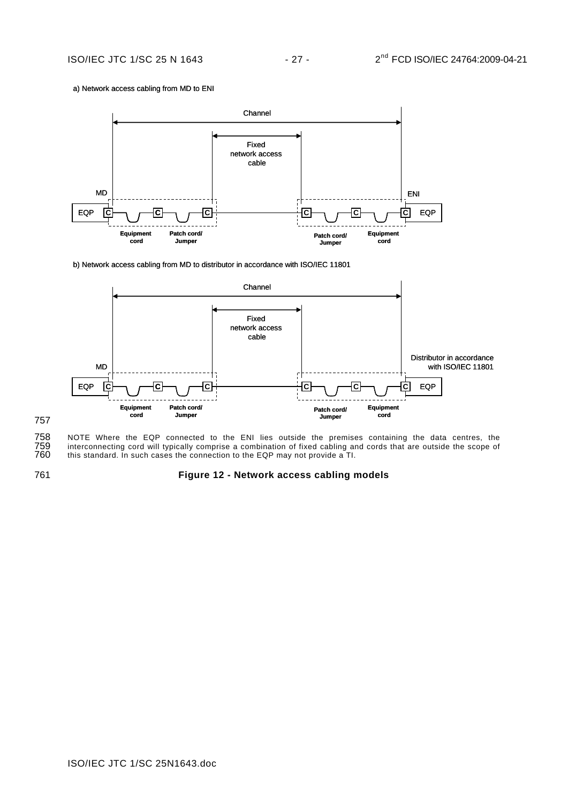#### a) Network access cabling from MD to ENI



b) Network access cabling from MD to distributor in accordance with ISO/IEC 11801



757

758 NOTE Where the EQP connected to the ENI lies outside the premises containing the data centres, the 759 interconnecting cord will typically comprise a combination of fixed cabling and cords that are outside the scope of 759 interconnecting cord will typically comprise a combination of fixed cabling and cords that are outside the scope of this standard. In such cases the connection to the EQP may not provide a TI.

<span id="page-27-0"></span>761

### **Figure 12 - Network access cabling models**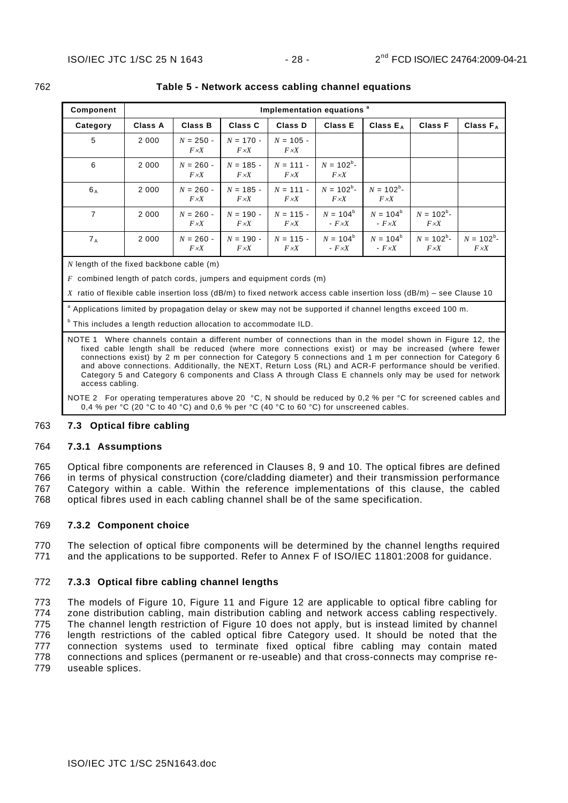| Component |         | Implementation equations <sup>a</sup> |                             |                             |                               |                               |                               |                               |
|-----------|---------|---------------------------------------|-----------------------------|-----------------------------|-------------------------------|-------------------------------|-------------------------------|-------------------------------|
| Category  | Class A | <b>Class B</b>                        | <b>Class C</b>              | Class D                     | <b>Class E</b>                | Class $E_A$                   | <b>Class F</b>                | Class $F_A$                   |
| 5         | 2 0 0 0 | $N = 250 -$<br>$F \times X$           | $N = 170 -$<br>$F \times X$ | $N = 105 -$<br>$F \times X$ |                               |                               |                               |                               |
| 6         | 2 0 0 0 | $N = 260 -$<br>$F \times X$           | $N = 185 -$<br>$F \times X$ | $N = 111 -$<br>$F \times X$ | $N = 102^b$ -<br>$F \times X$ |                               |                               |                               |
| $6_A$     | 2 0 0 0 | $N = 260 -$<br>$F \times X$           | $N = 185 -$<br>$F \times X$ | $N = 111 -$<br>$F \times X$ | $N = 102^b$ -<br>$F \times X$ | $N = 102^b$ -<br>$F \times X$ |                               |                               |
| 7         | 2 0 0 0 | $N = 260 -$<br>$F \times X$           | $N = 190 -$<br>$F \times X$ | $N = 115 -$<br>$F \times X$ | $N = 104^b$<br>$-F \times X$  | $N = 104^b$<br>- $F \times X$ | $N = 102^b$ -<br>$F \times X$ |                               |
| $7_{A}$   | 2 0 0 0 | $N = 260 -$<br>$F \times X$           | $N = 190 -$<br>$F \times X$ | $N = 115 -$<br>$F \times X$ | $N = 104^b$<br>- $F \times X$ | $N = 104^b$<br>- $F \times X$ | $N = 102^b$ -<br>$F \times X$ | $N = 102^b$ -<br>$F \times X$ |

#### <span id="page-28-4"></span>762 **Table 5 - Network access cabling channel equations**

*N* length of the fixed backbone cable (m)

*F* combined length of patch cords, jumpers and equipment cords (m)

*X* ratio of flexible cable insertion loss (dB/m) to fixed network access cable insertion loss (dB/m) – see Clause [10](#page-33-1) 

<sup>a</sup> Applications limited by propagation delay or skew may not be supported if channel lengths exceed 100 m.

<sup>b</sup> This includes a length reduction allocation to accommodate ILD.

NOTE 1 Where channels contain a different number of connections than in the model shown in [Figure 12,](#page-27-0) the fixed cable length shall be reduced (where more connections exist) or may be increased (where fewer connections exist) by 2 m per connection for Category 5 connections and 1 m per connection for Category 6 and above connections. Additionally, the NEXT, Return Loss (RL) and ACR-F performance should be verified. Category 5 and Category 6 components and Class A through Class E channels only may be used for network access cabling.

NOTE 2 For operating temperatures above 20 °C, N should be reduced by 0,2 % per °C for screened cables and 0,4 % per  $\degree$ C (20  $\degree$ C to 40  $\degree$ C) and 0,6 % per  $\degree$ C (40  $\degree$ C to 60  $\degree$ C) for unscreened cables.

#### <span id="page-28-0"></span>763 **7.3 Optical fibre cabling**

#### <span id="page-28-1"></span>764 **7.3.1 Assumptions**

Optical fibre components are referenced in Clauses [8](#page-29-0), [9](#page-33-6) and [10.](#page-33-1) The optical fibres are defined in terms of physical construction (core/cladding diameter) and their transmission performance Category within a cable. Within the reference implementations of this clause, the cabled optical fibres used in each cabling channel shall be of the same specification. 765 766 767 768

#### <span id="page-28-2"></span>769 **7.3.2 Component choice**

770 771 The selection of optical fibre components will be determined by the channel lengths required and the applications to be supported. Refer to Annex F of ISO/IEC 11801:2008 for guidance.

#### <span id="page-28-3"></span>772 **7.3.3 Optical fibre cabling channel lengths**

773 774 775 776 777 778 779 The models of [Figure 10](#page-22-0), [Figure 11](#page-25-0) and [Figure 12](#page-27-0) are applicable to optical fibre cabling for zone distribution cabling, main distribution cabling and network access cabling respectively. The channel length restriction of [Figure 10](#page-22-0) does not apply, but is instead limited by channel length restrictions of the cabled optical fibre Category used. It should be noted that the connection systems used to terminate fixed optical fibre cabling may contain mated connections and splices (permanent or re-useable) and that cross-connects may comprise reuseable splices.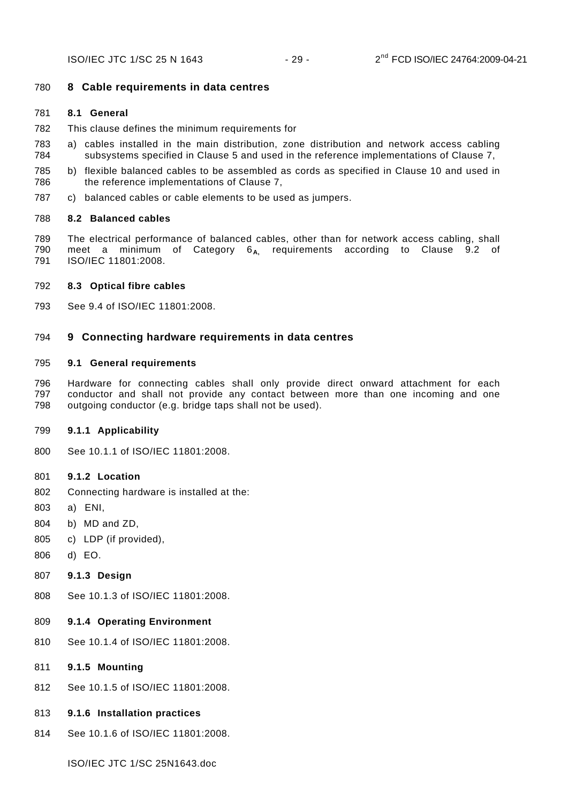# <span id="page-29-0"></span>780 **8 Cable requirements in data centres**

# <span id="page-29-1"></span>781 **8.1 General**

- 782 This clause defines the minimum requirements for
- 784 783 a) cables installed in the main distribution, zone distribution and network access cabling subsystems specified in Clause [5](#page-11-0) and used in the reference implementations of Clause [7](#page-21-0),
- 786 785 b) flexible balanced cables to be assembled as cords as specified in Clause [10](#page-33-1) and used in the reference implementations of Clause [7](#page-21-0),
- 787 c) balanced cables or cable elements to be used as jumpers.

# <span id="page-29-2"></span>788 **8.2 Balanced cables**

789 790 791 The electrical performance of balanced cables, other than for network access cabling, shall meet a minimum of Category 6<sub>A</sub>, requirements according to Clause 9.2 of ISO/IEC 11801:2008.

# <span id="page-29-3"></span>792 **8.3 Optical fibre cables**

793 See 9.4 of ISO/IEC 11801:2008.

# <span id="page-29-4"></span>794 **9 Connecting hardware requirements in data centres**

# <span id="page-29-5"></span>795 **9.1 General requirements**

796 797 798 Hardware for connecting cables shall only provide direct onward attachment for each conductor and shall not provide any contact between more than one incoming and one outgoing conductor (e.g. bridge taps shall not be used).

# <span id="page-29-6"></span>799 **9.1.1 Applicability**

800 See 10.1.1 of ISO/IEC 11801:2008.

# <span id="page-29-7"></span>801 **9.1.2 Location**

- 802 Connecting hardware is installed at the:
- 803 a) ENI,
- 804 b) MD and ZD,
- 805 c) LDP (if provided),
- 806 d) EO.
- <span id="page-29-8"></span>807 **9.1.3 Design**
- 808 See 10.1.3 of ISO/IEC 11801:2008.

# <span id="page-29-9"></span>809 **9.1.4 Operating Environment**

- 810 See 10.1.4 of ISO/IEC 11801:2008.
- <span id="page-29-10"></span>811 **9.1.5 Mounting**
- 812 See 10.1.5 of ISO/IEC 11801:2008.
- <span id="page-29-11"></span>813 **9.1.6 Installation practices**
- 814 See 10.1.6 of ISO/IEC 11801:2008.

ISO/IEC JTC 1/SC 25N1643.doc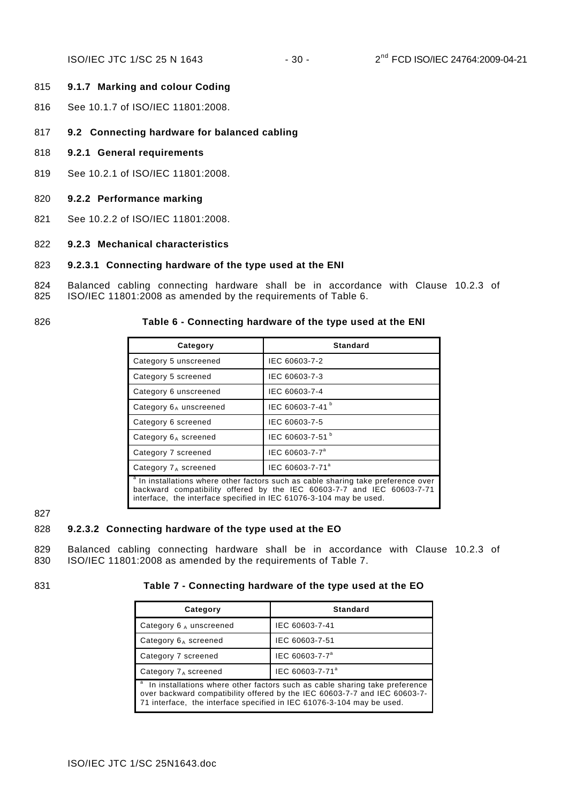### <span id="page-30-0"></span>815 **9.1.7 Marking and colour Coding**

- 816 See 10.1.7 of ISO/IEC 11801:2008.
- <span id="page-30-1"></span>817 **9.2 Connecting hardware for balanced cabling**
- <span id="page-30-2"></span>818 **9.2.1 General requirements**
- 819 See 10.2.1 of ISO/IEC 11801:2008.
- <span id="page-30-3"></span>820 **9.2.2 Performance marking**
- 821 See 10.2.2 of ISO/IEC 11801:2008.

#### <span id="page-30-4"></span>822 **9.2.3 Mechanical characteristics**

#### 823 **9.2.3.1 Connecting hardware of the type used at the ENI**

824 825 Balanced cabling connecting hardware shall be in accordance with Clause 10.2.3 of ISO/IEC 11801:2008 as amended by the requirements of [Table 6](#page-30-5).

```
826
```
#### **Table 6 - Connecting hardware of the type used at the ENI**

| Category                                                                                                                                                                                                                                     | <b>Standard</b>             |  |  |  |
|----------------------------------------------------------------------------------------------------------------------------------------------------------------------------------------------------------------------------------------------|-----------------------------|--|--|--|
| Category 5 unscreened                                                                                                                                                                                                                        | IEC 60603-7-2               |  |  |  |
| Category 5 screened                                                                                                                                                                                                                          | IEC 60603-7-3               |  |  |  |
| Category 6 unscreened                                                                                                                                                                                                                        | IEC 60603-7-4               |  |  |  |
| Category $6_A$ unscreened                                                                                                                                                                                                                    | IEC 60603-7-41 <sup>b</sup> |  |  |  |
| Category 6 screened                                                                                                                                                                                                                          | IEC 60603-7-5               |  |  |  |
| Category $6_A$ screened                                                                                                                                                                                                                      | IEC 60603-7-51 <sup>b</sup> |  |  |  |
| Category 7 screened                                                                                                                                                                                                                          | IEC 60603-7-7 <sup>a</sup>  |  |  |  |
| Category $7_A$ screened                                                                                                                                                                                                                      | IEC 60603-7-71 <sup>a</sup> |  |  |  |
| <sup>a</sup> In installations where other factors such as cable sharing take preference over<br>backward compatibility offered by the IEC 60603-7-7 and IEC 60603-7-71<br>interface, the interface specified in IEC 61076-3-104 may be used. |                             |  |  |  |

827

### <span id="page-30-7"></span>828 **9.2.3.2 Connecting hardware of the type used at the EO**

829 830 Balanced cabling connecting hardware shall be in accordance with Clause 10.2.3 of ISO/IEC 11801:2008 as amended by the requirements of [Table 7](#page-30-6).

<span id="page-30-6"></span>831

### **Table 7 - Connecting hardware of the type used at the EO**

| Category                                                                                                                                                                                                                              | <b>Standard</b>             |  |  |  |
|---------------------------------------------------------------------------------------------------------------------------------------------------------------------------------------------------------------------------------------|-----------------------------|--|--|--|
| Category $6_A$ unscreened                                                                                                                                                                                                             | IEC 60603-7-41              |  |  |  |
| Category $6_A$ screened                                                                                                                                                                                                               | IEC 60603-7-51              |  |  |  |
| Category 7 screened                                                                                                                                                                                                                   | IEC 60603-7-7 <sup>a</sup>  |  |  |  |
| Category $7_A$ screened                                                                                                                                                                                                               | IEC 60603-7-71 <sup>a</sup> |  |  |  |
| a<br>In installations where other factors such as cable sharing take preference<br>over backward compatibility offered by the IEC 60603-7-7 and IEC 60603-7-<br>71 interface, the interface specified in IEC 61076-3-104 may be used. |                             |  |  |  |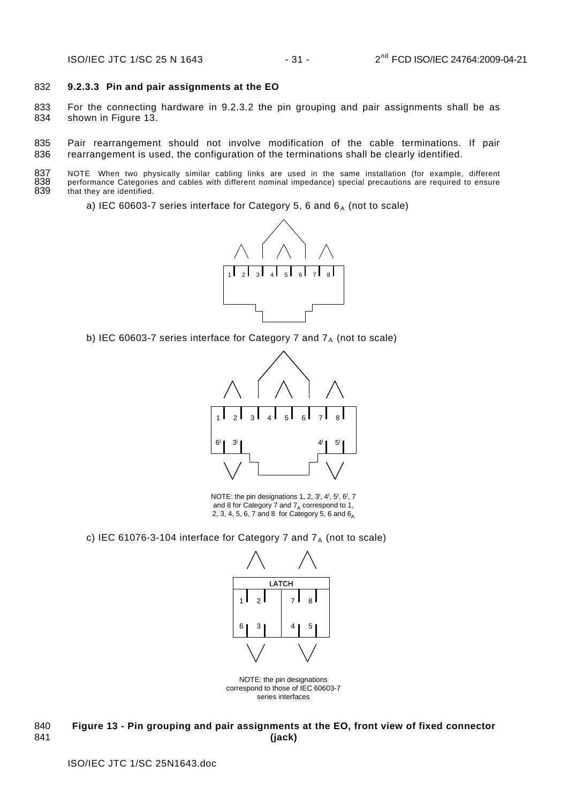#### 832 **9.2.3.3 Pin and pair assignments at the EO**

833 834 For the connecting hardware in [9.2.3.2](#page-30-7) the pin grouping and pair assignments shall be as shown in [Figure 13.](#page-31-0)

835 836 Pair rearrangement should not involve modification of the cable terminations. If pair rearrangement is used, the configuration of the terminations shall be clearly identified.

837 838 839 NOTE When two physically similar cabling links are used in the same installation (for example, different performance Categories and cables with different nominal impedance) special precautions are required to ensure that they are identified.

a) IEC 60603-7 series interface for Category 5, 6 and  $6_A$  (not to scale)



b) IEC 60603-7 series interface for Category 7 and  $7_A$  (not to scale)



NOTE: the pin designations 1, 2,  $3^1$ ,  $4^1$ ,  $5^1$ ,  $6^1$ , 7 and 8 for Category 7 and  $7_A$  correspond to 1, 2, 3, 4, 5, 6, 7 and 8 for Category 5, 6 and  $6<sub>A</sub>$ 

c) IEC 61076-3-104 interface for Category 7 and  $7_A$  (not to scale)



NOTE: the pin designations correspond to those of IEC 60603-7 series interfaces

<span id="page-31-0"></span>**Figure 13 - Pin grouping and pair assignments at the EO, front view of fixed connector (jack)**  840 841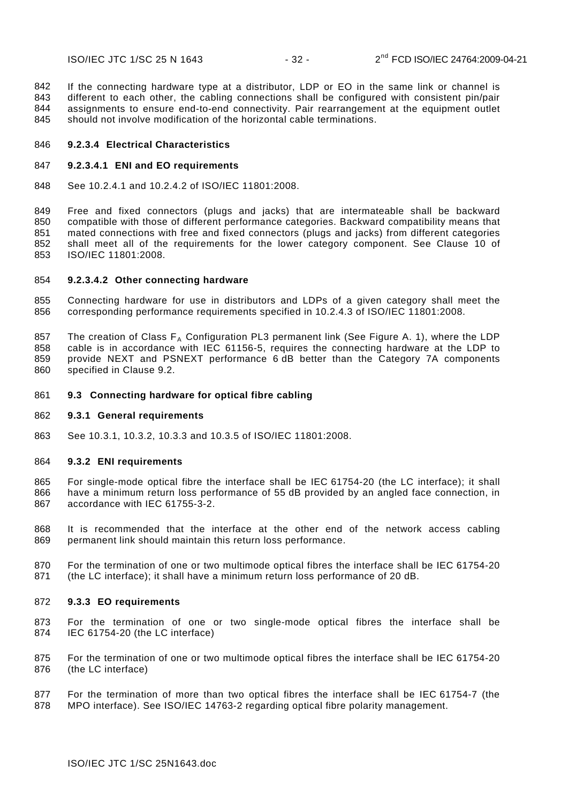842 843 844 845 If the connecting hardware type at a distributor, LDP or EO in the same link or channel is different to each other, the cabling connections shall be configured with consistent pin/pair assignments to ensure end-to-end connectivity. Pair rearrangement at the equipment outlet should not involve modification of the horizontal cable terminations.

#### 846 **9.2.3.4 Electrical Characteristics**

#### 847 **9.2.3.4.1 ENI and EO requirements**

848 See 10.2.4.1 and 10.2.4.2 of ISO/IEC 11801:2008.

849 850 851 852 853 Free and fixed connectors (plugs and jacks) that are intermateable shall be backward compatible with those of different performance categories. Backward compatibility means that mated connections with free and fixed connectors (plugs and jacks) from different categories shall meet all of the requirements for the lower category component. See Clause 10 of ISO/IEC 11801:2008.

#### 854 **9.2.3.4.2 Other connecting hardware**

855 856 Connecting hardware for use in distributors and LDPs of a given category shall meet the corresponding performance requirements specified in 10.2.4.3 of ISO/IEC 11801:2008.

857 858 859 860 The creation of Class  $F_A$  Configuration PL3 permanent link (See [Figure A. 1\)](#page-35-1), where the LDP cable is in accordance with IEC 61156-5, requires the connecting hardware at the LDP to provide NEXT and PSNEXT performance 6 dB better than the Category 7A components specified in Clause [9.2.](#page-30-1)

### <span id="page-32-0"></span>861 **9.3 Connecting hardware for optical fibre cabling**

#### <span id="page-32-1"></span>862 **9.3.1 General requirements**

863 See 10.3.1, 10.3.2, 10.3.3 and 10.3.5 of ISO/IEC 11801:2008.

#### <span id="page-32-2"></span>864 **9.3.2 ENI requirements**

- 865 866 867 For single-mode optical fibre the interface shall be IEC 61754-20 (the LC interface); it shall have a minimum return loss performance of 55 dB provided by an angled face connection, in accordance with IEC 61755-3-2.
- 868 869 It is recommended that the interface at the other end of the network access cabling permanent link should maintain this return loss performance.
- 870 871 For the termination of one or two multimode optical fibres the interface shall be IEC 61754-20 (the LC interface); it shall have a minimum return loss performance of 20 dB.

#### <span id="page-32-3"></span>872 **9.3.3 EO requirements**

- 873 874 For the termination of one or two single-mode optical fibres the interface shall be IEC 61754-20 (the LC interface)
- 875 876 For the termination of one or two multimode optical fibres the interface shall be IEC 61754-20 (the LC interface)
- 877 878 For the termination of more than two optical fibres the interface shall be IEC 61754-7 (the MPO interface). See ISO/IEC 14763-2 regarding optical fibre polarity management.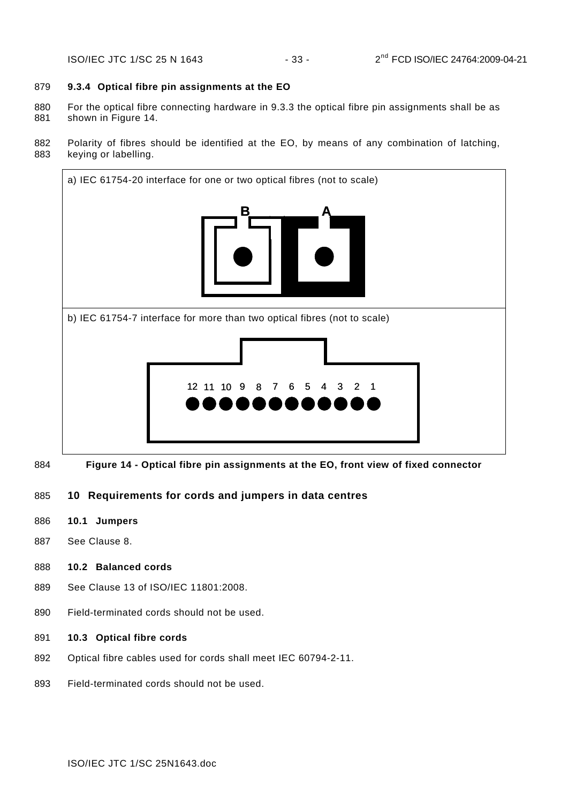# <span id="page-33-0"></span>879 **9.3.4 Optical fibre pin assignments at the EO**

- 880 881 For the optical fibre connecting hardware in [9.3.3](#page-32-3) the optical fibre pin assignments shall be as shown in [Figure 14.](#page-33-5)
- 882 883 Polarity of fibres should be identified at the EO, by means of any combination of latching, keying or labelling.



<span id="page-33-6"></span><span id="page-33-5"></span>884 **Figure 14 - Optical fibre pin assignments at the EO, front view of fixed connector** 

# <span id="page-33-1"></span>885 **10 Requirements for cords and jumpers in data centres**

- <span id="page-33-2"></span>886 **10.1 Jumpers**
- 887 See Clause [8](#page-29-0).
- <span id="page-33-3"></span>888 **10.2 Balanced cords**
- 889 See Clause 13 of ISO/IEC 11801:2008.
- 890 Field-terminated cords should not be used.
- <span id="page-33-4"></span>891 **10.3 Optical fibre cords**
- 892 Optical fibre cables used for cords shall meet IEC 60794-2-11.
- 893 Field-terminated cords should not be used.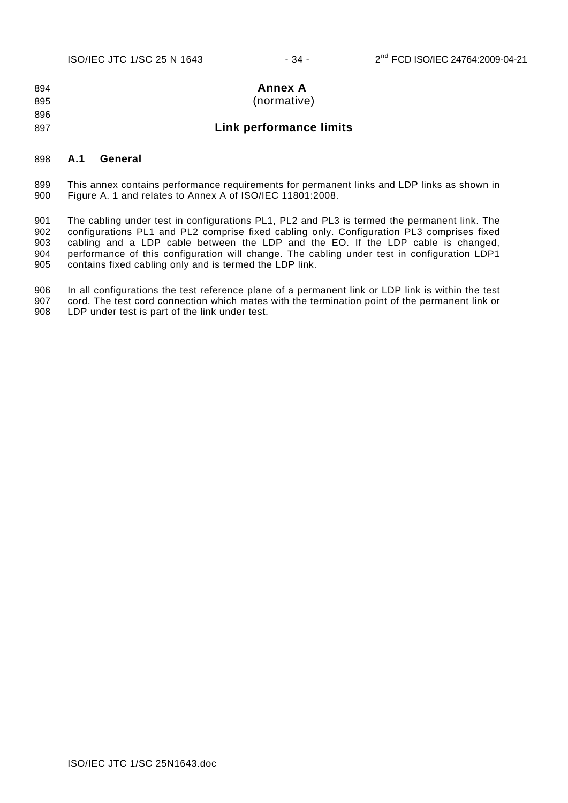<span id="page-34-0"></span>894 895 896 **Annex A**  (normative)

# **Link performance limits**

### <span id="page-34-1"></span>898 **A.1 General**

897

899 900 This annex contains performance requirements for permanent links and LDP links as shown in [Figure A. 1](#page-35-1) and relates to Annex A of ISO/IEC 11801:2008.

901 902 903 904 905 The cabling under test in configurations PL1, PL2 and PL3 is termed the permanent link. The configurations PL1 and PL2 comprise fixed cabling only. Configuration PL3 comprises fixed cabling and a LDP cable between the LDP and the EO. If the LDP cable is changed, performance of this configuration will change. The cabling under test in configuration LDP1 contains fixed cabling only and is termed the LDP link.

906 907 908 In all configurations the test reference plane of a permanent link or LDP link is within the test cord. The test cord connection which mates with the termination point of the permanent link or LDP under test is part of the link under test.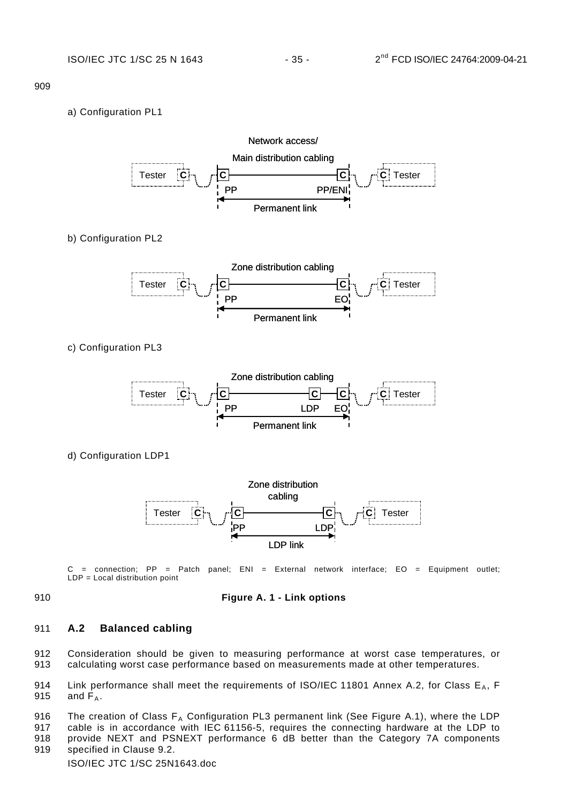### a) Configuration PL1



b) Configuration PL2



c) Configuration PL3



d) Configuration LDP1



 $C =$  connection; PP = Patch panel; ENI = External network interface; EO = Equipment outlet; LDP = Local distribution point

<span id="page-35-1"></span>

#### 910 **Figure A. 1 - Link options**

# <span id="page-35-0"></span>911 **A.2 Balanced cabling**

912 913 Consideration should be given to measuring performance at worst case temperatures, or calculating worst case performance based on measurements made at other temperatures.

914 915 Link performance shall meet the requirements of ISO/IEC 11801 Annex A.2, for Class  $E_A$ , F and  $\overline{F}_4$ .

916 The creation of Class  $F_A$  Configuration PL3 permanent link (See Figure A.1), where the LDP

917 918 cable is in accordance with IEC 61156-5, requires the connecting hardware at the LDP to provide NEXT and PSNEXT performance 6 dB better than the Category 7A components

919 specified in Clause 9.2.

ISO/IEC JTC 1/SC 25N1643.doc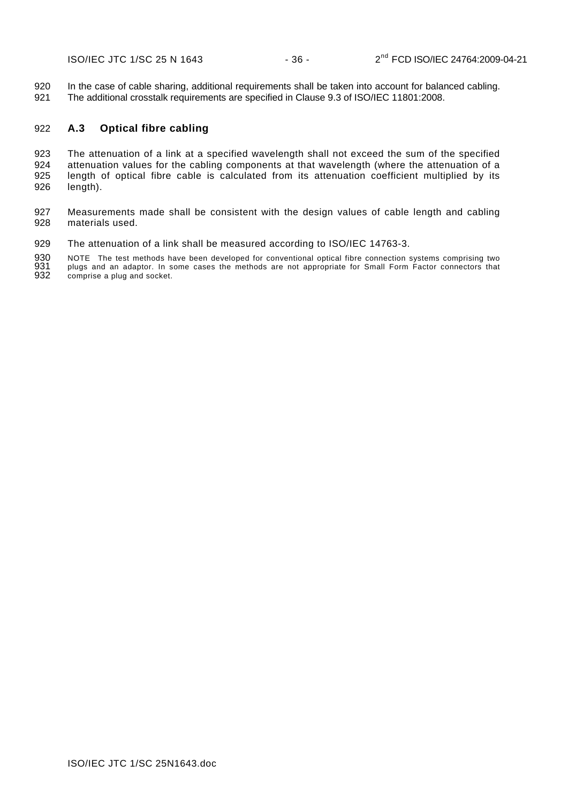ISO/IEC JTC 1/SC 25 N 1643 - 36 - 2<sup>nd</sup> FCD ISO/IEC 24764:2009-04-21

920 921 In the case of cable sharing, additional requirements shall be taken into account for balanced cabling. The additional crosstalk requirements are specified in Clause 9.3 of ISO/IEC 11801:2008.

### <span id="page-36-0"></span>922 **A.3 Optical fibre cabling**

923 924 925 926 The attenuation of a link at a specified wavelength shall not exceed the sum of the specified attenuation values for the cabling components at that wavelength (where the attenuation of a length of optical fibre cable is calculated from its attenuation coefficient multiplied by its length).

927 928 Measurements made shall be consistent with the design values of cable length and cabling materials used.

929 The attenuation of a link shall be measured according to ISO/IEC 14763-3.

930 931 932 NOTE The test methods have been developed for conventional optical fibre connection systems comprising two plugs and an adaptor. In some cases the methods are not appropriate for Small Form Factor connectors that comprise a plug and socket.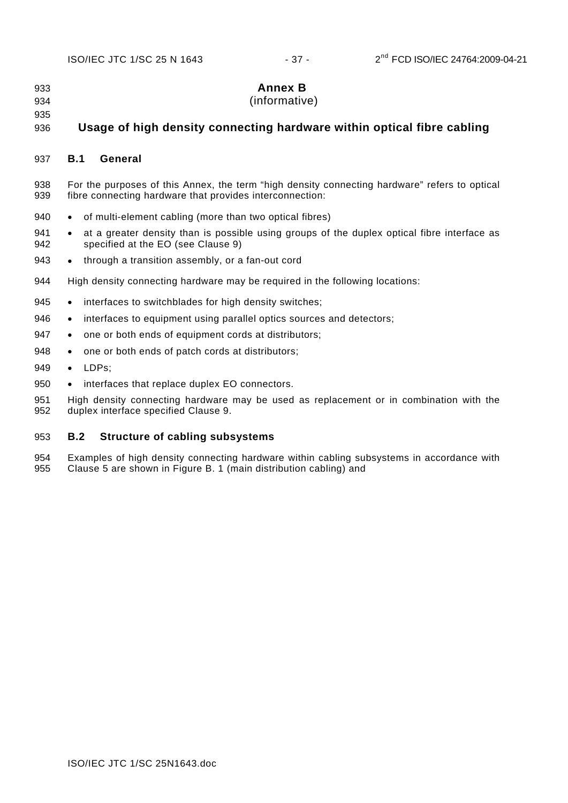<span id="page-37-0"></span>933 934 935 **Annex B**  (informative)

#### 936 **Usage of high density connecting hardware within optical fibre cabling**

### <span id="page-37-1"></span>937 **B.1 General**

- 938 939 For the purposes of this Annex, the term "high density connecting hardware" refers to optical fibre connecting hardware that provides interconnection:
- 940 of multi-element cabling (more than two optical fibres)
- 941 942 at a greater density than is possible using groups of the duplex optical fibre interface as specified at the EO (see Clause [9](#page-29-4))
- 943 • through a transition assembly, or a fan-out cord
- 944 High density connecting hardware may be required in the following locations:
- 945 interfaces to switchblades for high density switches;
- 946 • interfaces to equipment using parallel optics sources and detectors;
- 947 • one or both ends of equipment cords at distributors;
- 948 • one or both ends of patch cords at distributors;
- 949 • LDPs;
- 950 • interfaces that replace duplex EO connectors.

951 952 High density connecting hardware may be used as replacement or in combination with the duplex interface specified Clause [9.](#page-29-4)

### <span id="page-37-2"></span>953 **B.2 Structure of cabling subsystems**

954 955 Examples of high density connecting hardware within cabling subsystems in accordance with Clause [5](#page-11-0) are shown in [Figure B. 1](#page-38-0) (main distribution cabling) and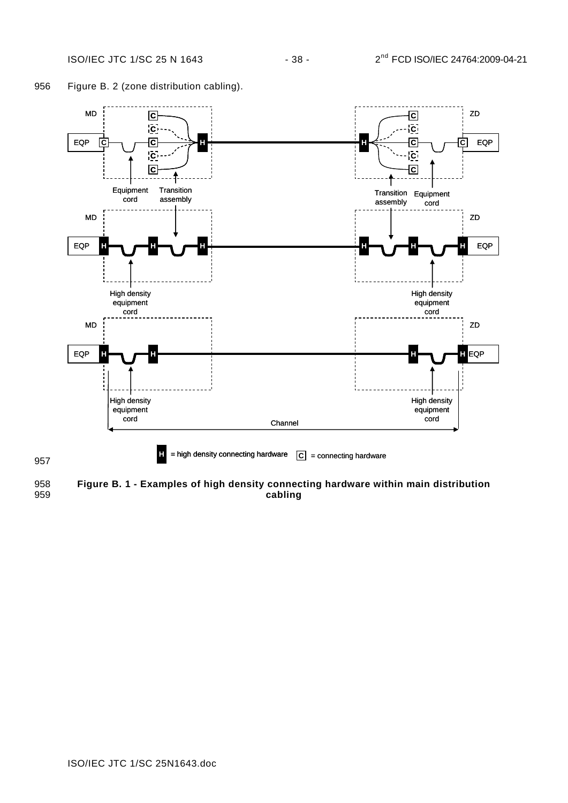



<span id="page-38-0"></span>958 959 **Figure B. 1 - Examples of high density connecting hardware within main distribution cabling**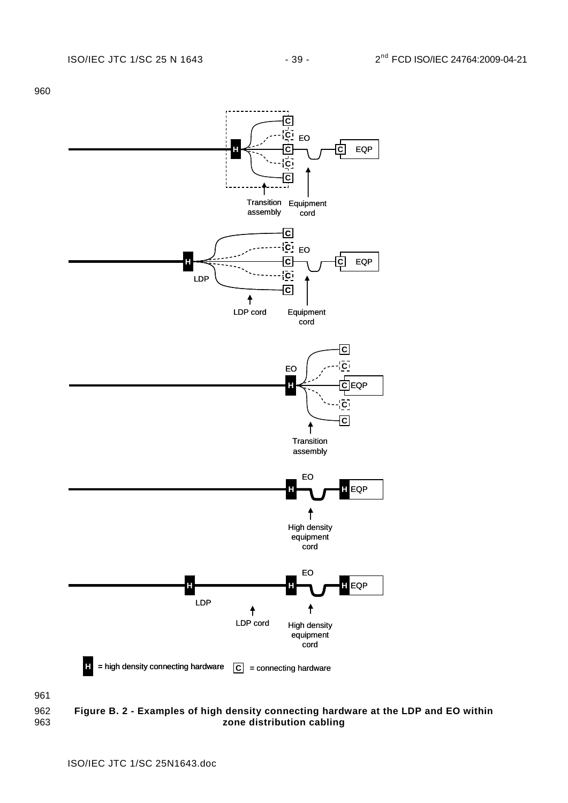

<span id="page-39-0"></span>962 963 **Figure B. 2 - Examples of high density connecting hardware at the LDP and EO within zone distribution cabling**